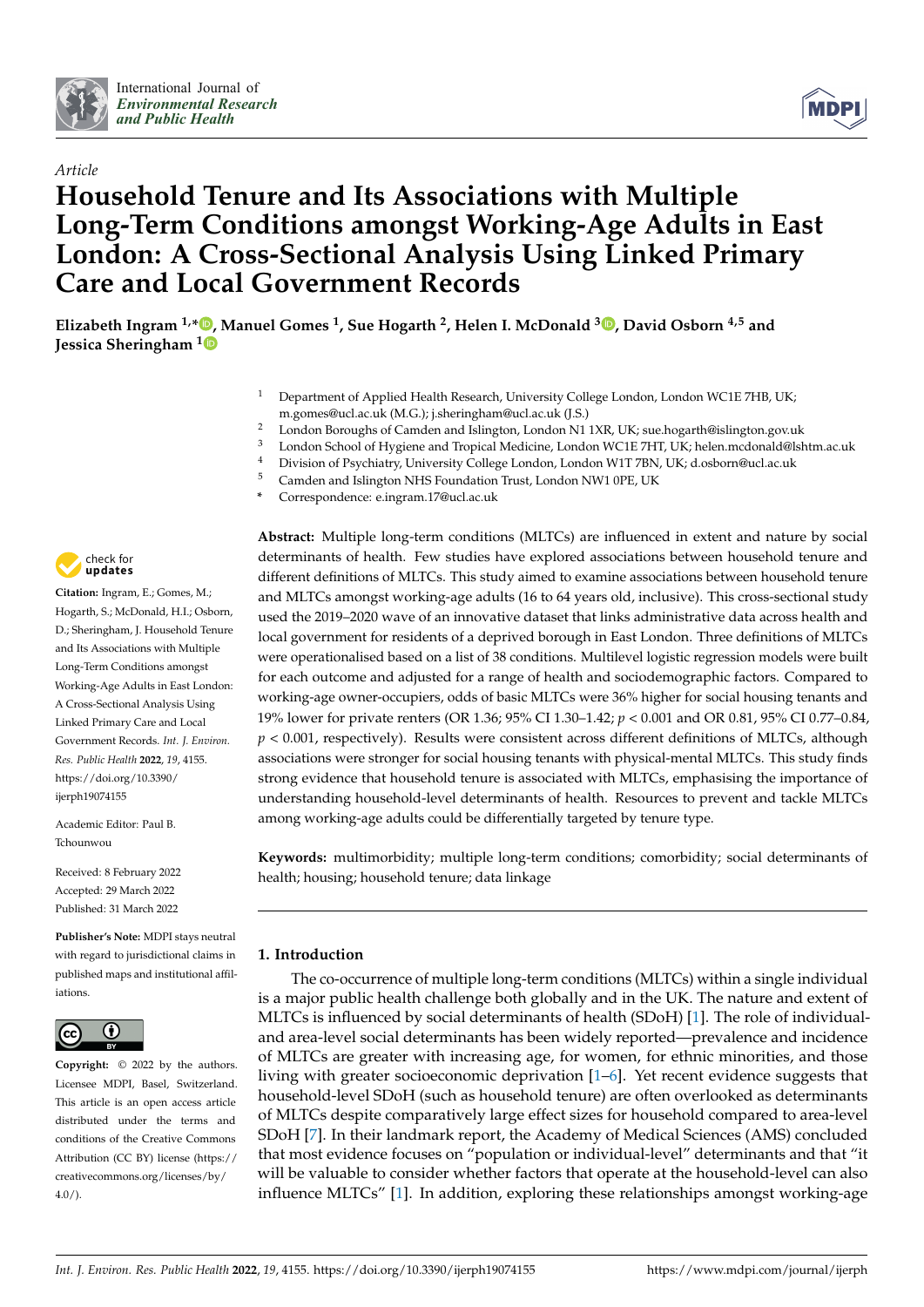



# *Article* **Household Tenure and Its Associations with Multiple Long-Term Conditions amongst Working-Age Adults in East London: A Cross-Sectional Analysis Using Linked Primary Care and Local Government Records**

**Elizabeth Ingram 1,[\\*](https://orcid.org/0000-0002-0354-4551) , Manuel Gomes <sup>1</sup> , Sue Hogarth <sup>2</sup> , Helen I. McDonald <sup>3</sup> [,](https://orcid.org/0000-0003-0576-2015) David Osborn 4,5 and Jessica Sheringham [1](https://orcid.org/0000-0003-3468-129X)**

- <sup>1</sup> Department of Applied Health Research, University College London, London WC1E 7HB, UK; m.gomes@ucl.ac.uk (M.G.); j.sheringham@ucl.ac.uk (J.S.)
- <sup>2</sup> London Boroughs of Camden and Islington, London N1 1XR, UK; sue.hogarth@islington.gov.uk<br><sup>3</sup> London School of Hygione and Tropical Medicine, London WC1E 7HT UK; helen medanald@lch
- <sup>3</sup> London School of Hygiene and Tropical Medicine, London WC1E 7HT, UK; helen.mcdonald@lshtm.ac.uk<br><sup>4</sup> Division of Brushistan University Callage Landau Man Jandau Will T<sup>RN</sup> UK; disclosure @uslage.uk
- <sup>4</sup> Division of Psychiatry, University College London, London W1T 7BN, UK; d.osborn@ucl.ac.uk
- <sup>5</sup> Camden and Islington NHS Foundation Trust, London NW1 0PE, UK
- **\*** Correspondence: e.ingram.17@ucl.ac.uk



**Citation:** Ingram, E.; Gomes, M.; Hogarth, S.; McDonald, H.I.; Osborn, D.; Sheringham, J. Household Tenure and Its Associations with Multiple Long-Term Conditions amongst Working-Age Adults in East London: A Cross-Sectional Analysis Using Linked Primary Care and Local Government Records. *Int. J. Environ. Res. Public Health* **2022**, *19*, 4155. [https://doi.org/10.3390/](https://doi.org/10.3390/ijerph19074155) [ijerph19074155](https://doi.org/10.3390/ijerph19074155)

Academic Editor: Paul B. Tchounwou

Received: 8 February 2022 Accepted: 29 March 2022 Published: 31 March 2022

**Publisher's Note:** MDPI stays neutral with regard to jurisdictional claims in published maps and institutional affiliations.



**Copyright:** © 2022 by the authors. Licensee MDPI, Basel, Switzerland. This article is an open access article distributed under the terms and conditions of the Creative Commons Attribution (CC BY) license [\(https://](https://creativecommons.org/licenses/by/4.0/) [creativecommons.org/licenses/by/](https://creativecommons.org/licenses/by/4.0/)  $4.0/$ ).

**Abstract:** Multiple long-term conditions (MLTCs) are influenced in extent and nature by social determinants of health. Few studies have explored associations between household tenure and different definitions of MLTCs. This study aimed to examine associations between household tenure and MLTCs amongst working-age adults (16 to 64 years old, inclusive). This cross-sectional study used the 2019–2020 wave of an innovative dataset that links administrative data across health and local government for residents of a deprived borough in East London. Three definitions of MLTCs were operationalised based on a list of 38 conditions. Multilevel logistic regression models were built for each outcome and adjusted for a range of health and sociodemographic factors. Compared to working-age owner-occupiers, odds of basic MLTCs were 36% higher for social housing tenants and 19% lower for private renters (OR 1.36; 95% CI 1.30–1.42; *p* < 0.001 and OR 0.81, 95% CI 0.77–0.84, *p* < 0.001, respectively). Results were consistent across different definitions of MLTCs, although associations were stronger for social housing tenants with physical-mental MLTCs. This study finds strong evidence that household tenure is associated with MLTCs, emphasising the importance of understanding household-level determinants of health. Resources to prevent and tackle MLTCs among working-age adults could be differentially targeted by tenure type.

**Keywords:** multimorbidity; multiple long-term conditions; comorbidity; social determinants of health; housing; household tenure; data linkage

# **1. Introduction**

The co-occurrence of multiple long-term conditions (MLTCs) within a single individual is a major public health challenge both globally and in the UK. The nature and extent of MLTCs is influenced by social determinants of health (SDoH) [\[1\]](#page-15-0). The role of individualand area-level social determinants has been widely reported—prevalence and incidence of MLTCs are greater with increasing age, for women, for ethnic minorities, and those living with greater socioeconomic deprivation [\[1–](#page-15-0)[6\]](#page-15-1). Yet recent evidence suggests that household-level SDoH (such as household tenure) are often overlooked as determinants of MLTCs despite comparatively large effect sizes for household compared to area-level SDoH [\[7\]](#page-15-2). In their landmark report, the Academy of Medical Sciences (AMS) concluded that most evidence focuses on "population or individual-level" determinants and that "it will be valuable to consider whether factors that operate at the household-level can also influence MLTCs" [\[1\]](#page-15-0). In addition, exploring these relationships amongst working-age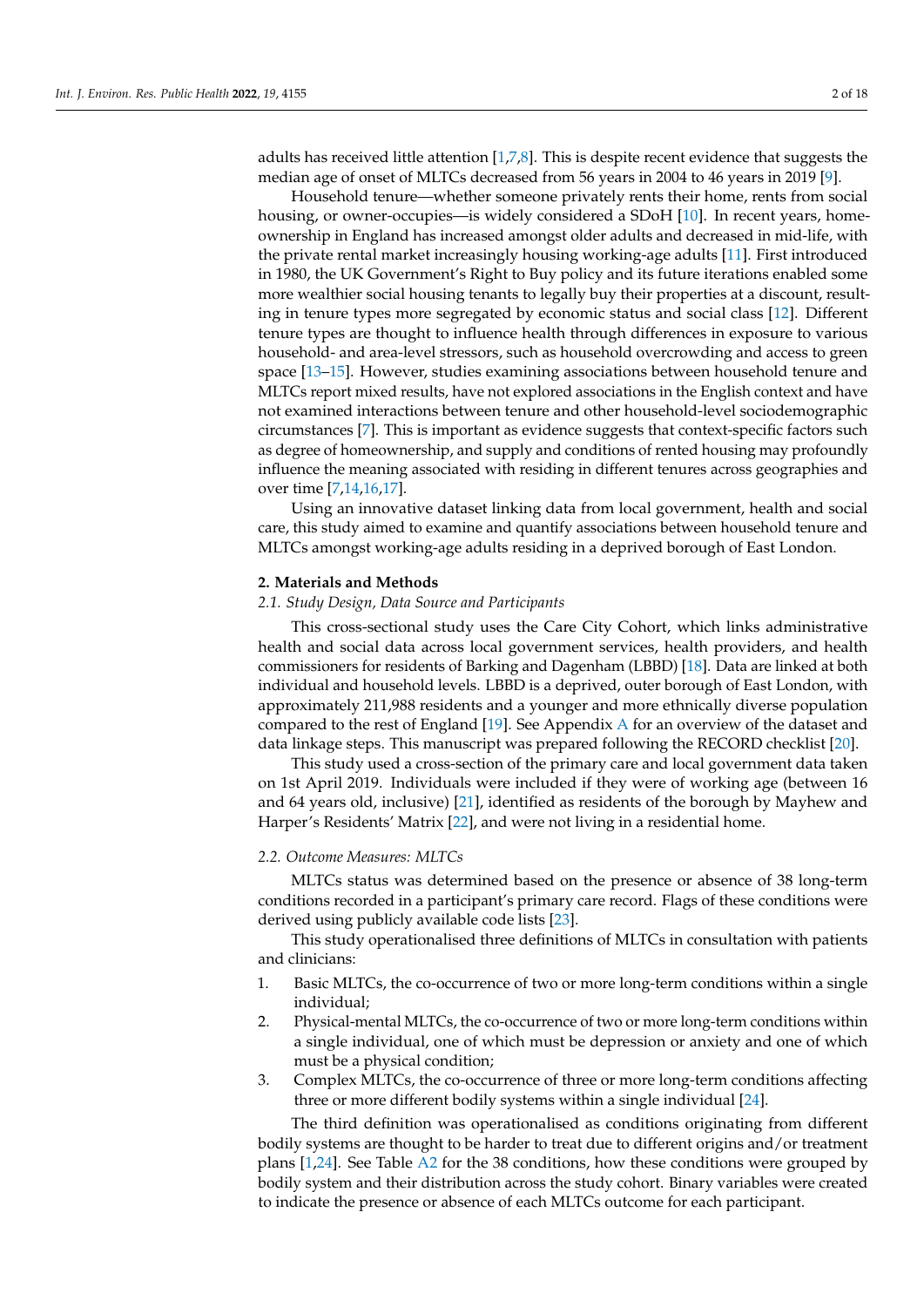adults has received little attention [\[1,](#page-15-0)[7,](#page-15-2)[8\]](#page-15-3). This is despite recent evidence that suggests the median age of onset of MLTCs decreased from 56 years in 2004 to 46 years in 2019 [\[9\]](#page-16-0).

Household tenure—whether someone privately rents their home, rents from social housing, or owner-occupies—is widely considered a SDoH [\[10\]](#page-16-1). In recent years, homeownership in England has increased amongst older adults and decreased in mid-life, with the private rental market increasingly housing working-age adults [\[11\]](#page-16-2). First introduced in 1980, the UK Government's Right to Buy policy and its future iterations enabled some more wealthier social housing tenants to legally buy their properties at a discount, resulting in tenure types more segregated by economic status and social class [\[12\]](#page-16-3). Different tenure types are thought to influence health through differences in exposure to various household- and area-level stressors, such as household overcrowding and access to green space [\[13](#page-16-4)[–15\]](#page-16-5). However, studies examining associations between household tenure and MLTCs report mixed results, have not explored associations in the English context and have not examined interactions between tenure and other household-level sociodemographic circumstances [\[7\]](#page-15-2). This is important as evidence suggests that context-specific factors such as degree of homeownership, and supply and conditions of rented housing may profoundly influence the meaning associated with residing in different tenures across geographies and over time [\[7,](#page-15-2)[14,](#page-16-6)[16,](#page-16-7)[17\]](#page-16-8).

Using an innovative dataset linking data from local government, health and social care, this study aimed to examine and quantify associations between household tenure and MLTCs amongst working-age adults residing in a deprived borough of East London.

## **2. Materials and Methods**

#### *2.1. Study Design, Data Source and Participants*

This cross-sectional study uses the Care City Cohort, which links administrative health and social data across local government services, health providers, and health commissioners for residents of Barking and Dagenham (LBBD) [\[18\]](#page-16-9). Data are linked at both individual and household levels. LBBD is a deprived, outer borough of East London, with approximately 211,988 residents and a younger and more ethnically diverse population compared to the rest of England [\[19\]](#page-16-10). See Appendix [A](#page-8-0) for an overview of the dataset and data linkage steps. This manuscript was prepared following the RECORD checklist [\[20\]](#page-16-11).

This study used a cross-section of the primary care and local government data taken on 1st April 2019. Individuals were included if they were of working age (between 16 and 64 years old, inclusive) [\[21\]](#page-16-12), identified as residents of the borough by Mayhew and Harper's Residents' Matrix [\[22\]](#page-16-13), and were not living in a residential home.

## *2.2. Outcome Measures: MLTCs*

MLTCs status was determined based on the presence or absence of 38 long-term conditions recorded in a participant's primary care record. Flags of these conditions were derived using publicly available code lists [\[23\]](#page-16-14).

This study operationalised three definitions of MLTCs in consultation with patients and clinicians:

- 1. Basic MLTCs, the co-occurrence of two or more long-term conditions within a single individual;
- 2. Physical-mental MLTCs, the co-occurrence of two or more long-term conditions within a single individual, one of which must be depression or anxiety and one of which must be a physical condition;
- 3. Complex MLTCs, the co-occurrence of three or more long-term conditions affecting three or more different bodily systems within a single individual [\[24\]](#page-16-15).

The third definition was operationalised as conditions originating from different bodily systems are thought to be harder to treat due to different origins and/or treatment plans [\[1,](#page-15-0)[24\]](#page-16-15). See Table [A2](#page-12-0) for the 38 conditions, how these conditions were grouped by bodily system and their distribution across the study cohort. Binary variables were created to indicate the presence or absence of each MLTCs outcome for each participant.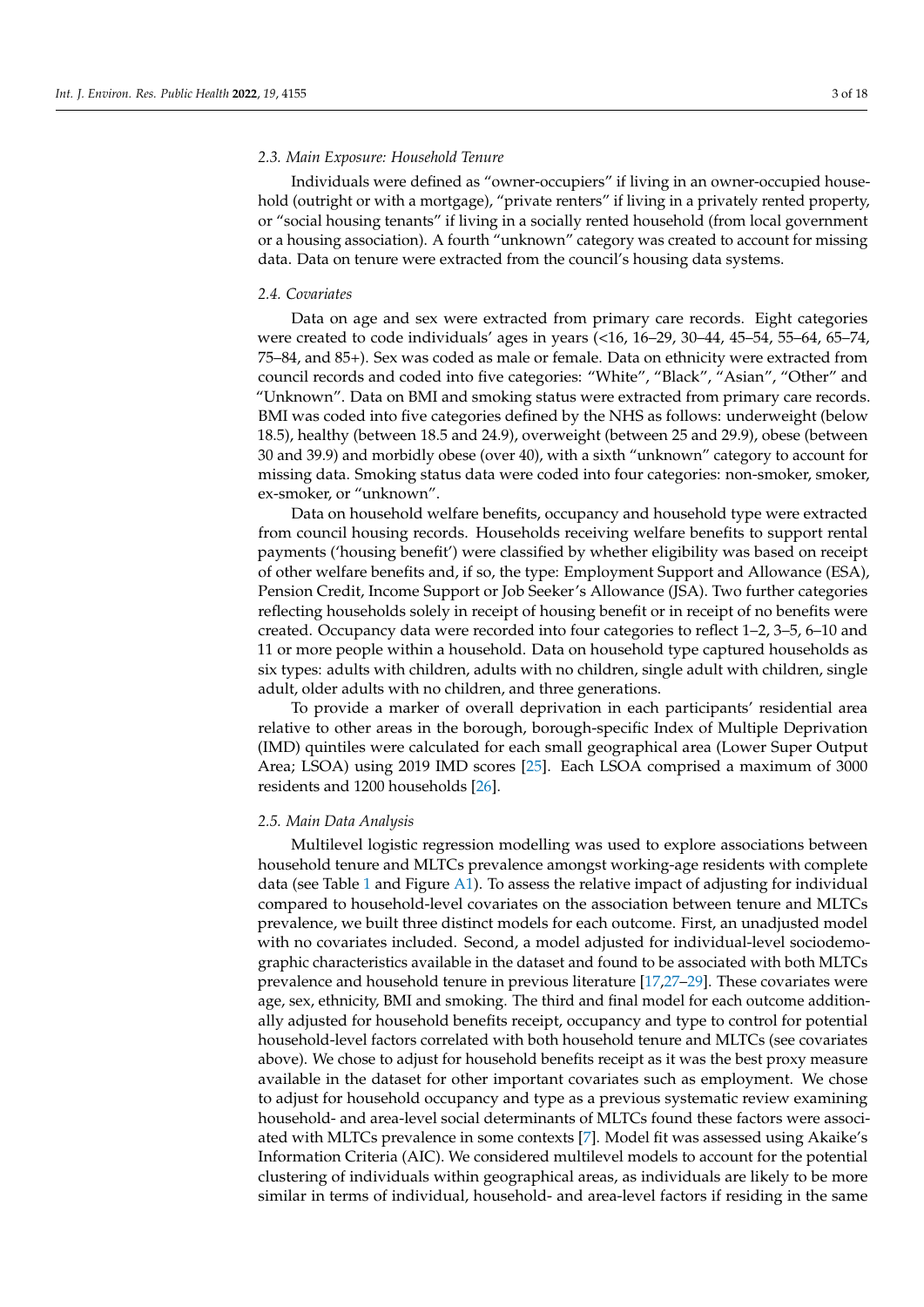## *2.3. Main Exposure: Household Tenure*

Individuals were defined as "owner-occupiers" if living in an owner-occupied household (outright or with a mortgage), "private renters" if living in a privately rented property, or "social housing tenants" if living in a socially rented household (from local government or a housing association). A fourth "unknown" category was created to account for missing data. Data on tenure were extracted from the council's housing data systems.

#### *2.4. Covariates*

Data on age and sex were extracted from primary care records. Eight categories were created to code individuals' ages in years (<16, 16–29, 30–44, 45–54, 55–64, 65–74, 75–84, and 85+). Sex was coded as male or female. Data on ethnicity were extracted from council records and coded into five categories: "White", "Black", "Asian", "Other" and "Unknown". Data on BMI and smoking status were extracted from primary care records. BMI was coded into five categories defined by the NHS as follows: underweight (below 18.5), healthy (between 18.5 and 24.9), overweight (between 25 and 29.9), obese (between 30 and 39.9) and morbidly obese (over 40), with a sixth "unknown" category to account for missing data. Smoking status data were coded into four categories: non-smoker, smoker, ex-smoker, or "unknown".

Data on household welfare benefits, occupancy and household type were extracted from council housing records. Households receiving welfare benefits to support rental payments ('housing benefit') were classified by whether eligibility was based on receipt of other welfare benefits and, if so, the type: Employment Support and Allowance (ESA), Pension Credit, Income Support or Job Seeker's Allowance (JSA). Two further categories reflecting households solely in receipt of housing benefit or in receipt of no benefits were created. Occupancy data were recorded into four categories to reflect 1–2, 3–5, 6–10 and 11 or more people within a household. Data on household type captured households as six types: adults with children, adults with no children, single adult with children, single adult, older adults with no children, and three generations.

To provide a marker of overall deprivation in each participants' residential area relative to other areas in the borough, borough-specific Index of Multiple Deprivation (IMD) quintiles were calculated for each small geographical area (Lower Super Output Area; LSOA) using 2019 IMD scores [\[25\]](#page-16-16). Each LSOA comprised a maximum of 3000 residents and 1200 households [\[26\]](#page-16-17).

#### *2.5. Main Data Analysis*

Multilevel logistic regression modelling was used to explore associations between household tenure and MLTCs prevalence amongst working-age residents with complete data (see Table [1](#page-3-0) and Figure  $A1$ ). To assess the relative impact of adjusting for individual compared to household-level covariates on the association between tenure and MLTCs prevalence, we built three distinct models for each outcome. First, an unadjusted model with no covariates included. Second, a model adjusted for individual-level sociodemographic characteristics available in the dataset and found to be associated with both MLTCs prevalence and household tenure in previous literature [\[17,](#page-16-8)[27](#page-16-18)[–29\]](#page-16-19). These covariates were age, sex, ethnicity, BMI and smoking. The third and final model for each outcome additionally adjusted for household benefits receipt, occupancy and type to control for potential household-level factors correlated with both household tenure and MLTCs (see covariates above). We chose to adjust for household benefits receipt as it was the best proxy measure available in the dataset for other important covariates such as employment. We chose to adjust for household occupancy and type as a previous systematic review examining household- and area-level social determinants of MLTCs found these factors were associated with MLTCs prevalence in some contexts [\[7\]](#page-15-2). Model fit was assessed using Akaike's Information Criteria (AIC). We considered multilevel models to account for the potential clustering of individuals within geographical areas, as individuals are likely to be more similar in terms of individual, household- and area-level factors if residing in the same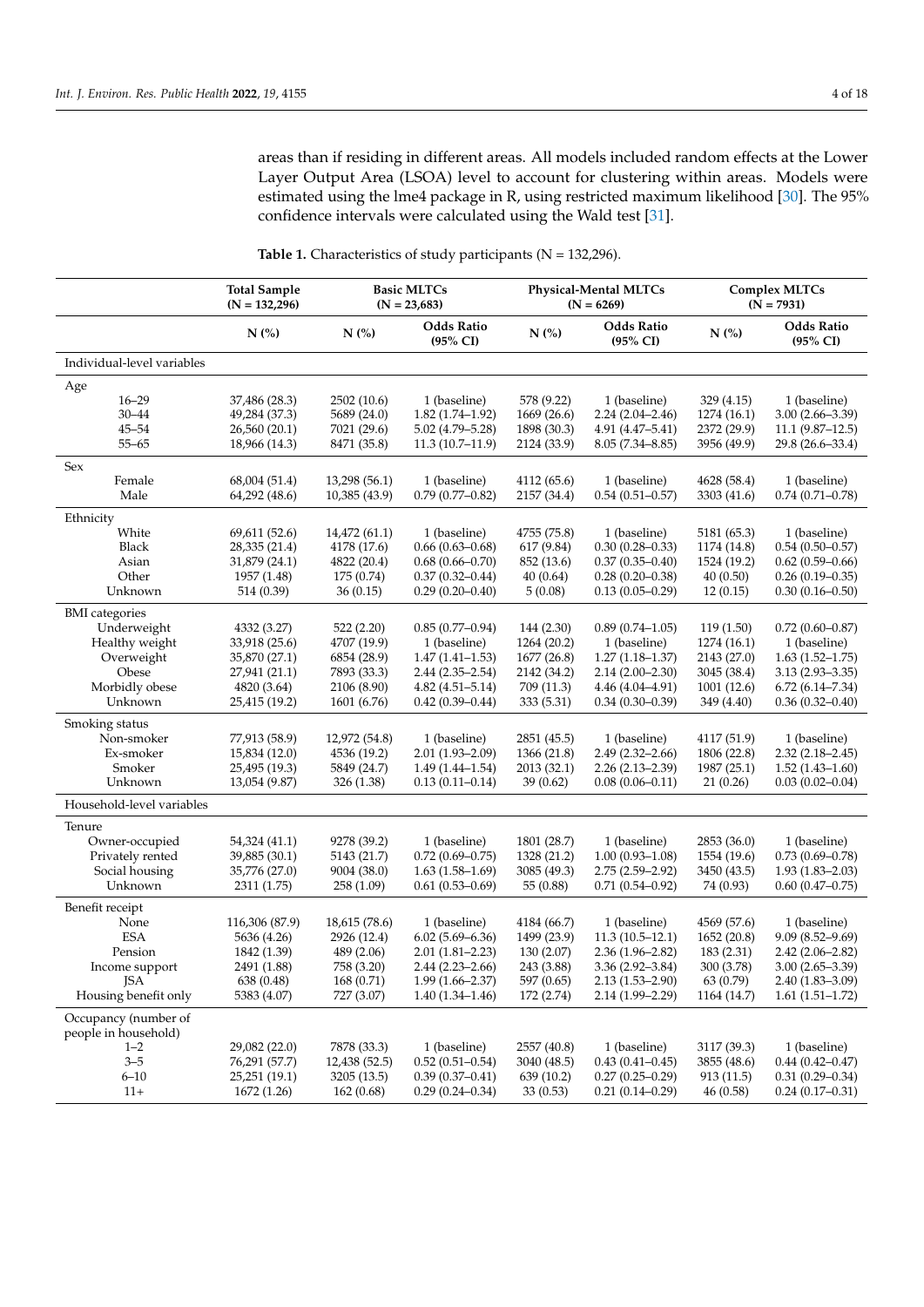areas than if residing in different areas. All models included random effects at the Lower Layer Output Area (LSOA) level to account for clustering within areas. Models were estimated using the lme4 package in R, using restricted maximum likelihood [\[30\]](#page-16-20). The 95% confidence intervals were calculated using the Wald test [\[31\]](#page-16-21).

|                              | <b>Total Sample</b><br>$(N = 132,296)$ |                            | <b>Basic MLTCs</b><br>$(N = 23,683)$       |                           | Physical-Mental MLTCs<br>$(N = 6269)$      |                           | <b>Complex MLTCs</b><br>$(N = 7931)$       |
|------------------------------|----------------------------------------|----------------------------|--------------------------------------------|---------------------------|--------------------------------------------|---------------------------|--------------------------------------------|
|                              | $N$ (%)                                | $N$ (%)                    | <b>Odds Ratio</b><br>(95% CI)              | $N$ (%)                   | <b>Odds Ratio</b><br>$(95\% \text{ CI})$   | N(%)                      | <b>Odds Ratio</b><br>(95% CI)              |
| Individual-level variables   |                                        |                            |                                            |                           |                                            |                           |                                            |
| Age                          |                                        |                            |                                            |                           |                                            |                           |                                            |
| $16 - 29$                    | 37,486 (28.3)                          | 2502 (10.6)                | 1 (baseline)                               | 578 (9.22)                | 1 (baseline)                               | 329 (4.15)                | 1 (baseline)                               |
| $30 - 44$                    | 49,284 (37.3)                          | 5689 (24.0)                | $1.82(1.74 - 1.92)$                        | 1669 (26.6)               | $2.24(2.04 - 2.46)$                        | 1274(16.1)                | $3.00(2.66 - 3.39)$                        |
| $45 - 54$                    | 26,560 (20.1)                          | 7021 (29.6)                | $5.02(4.79 - 5.28)$                        | 1898 (30.3)               | $4.91(4.47 - 5.41)$                        | 2372 (29.9)               | $11.1(9.87 - 12.5)$                        |
| $55 - 65$                    | 18,966 (14.3)                          | 8471 (35.8)                | $11.3(10.7-11.9)$                          | 2124 (33.9)               | $8.05(7.34 - 8.85)$                        | 3956 (49.9)               | 29.8 (26.6-33.4)                           |
| Sex                          |                                        |                            |                                            |                           |                                            |                           |                                            |
| Female                       | 68,004 (51.4)                          | 13,298 (56.1)              | 1 (baseline)                               | 4112 (65.6)               | 1 (baseline)                               | 4628 (58.4)               | 1 (baseline)                               |
| Male                         | 64,292 (48.6)                          | 10,385 (43.9)              | $0.79(0.77-0.82)$                          | 2157 (34.4)               | $0.54(0.51 - 0.57)$                        | 3303 (41.6)               | $0.74(0.71 - 0.78)$                        |
| Ethnicity                    |                                        |                            |                                            |                           |                                            |                           |                                            |
| White                        | 69,611 (52.6)                          | 14,472 (61.1)              | 1 (baseline)                               | 4755 (75.8)               | 1 (baseline)                               | 5181 (65.3)               | 1 (baseline)                               |
| Black                        | 28,335 (21.4)                          | 4178 (17.6)                | $0.66(0.63 - 0.68)$                        | 617 (9.84)                | $0.30(0.28 - 0.33)$                        | 1174 (14.8)               | $0.54(0.50-0.57)$                          |
| Asian                        | 31,879 (24.1)                          | 4822 (20.4)                | $0.68(0.66 - 0.70)$                        | 852 (13.6)                | $0.37(0.35 - 0.40)$                        | 1524 (19.2)               | $0.62(0.59-0.66)$                          |
| Other                        | 1957 (1.48)                            | 175(0.74)                  | $0.37(0.32 - 0.44)$                        | 40 (0.64)                 | $0.28(0.20-0.38)$                          | 40(0.50)                  | $0.26(0.19-0.35)$                          |
| Unknown                      | 514 (0.39)                             | 36(0.15)                   | $0.29(0.20-0.40)$                          | 5(0.08)                   | $0.13(0.05-0.29)$                          | 12(0.15)                  | $0.30(0.16 - 0.50)$                        |
| <b>BMI</b> categories        |                                        |                            |                                            |                           |                                            |                           |                                            |
| Underweight                  | 4332 (3.27)                            | 522(2.20)                  | $0.85(0.77-0.94)$                          | 144 (2.30)                | $0.89(0.74 - 1.05)$                        | 119(1.50)                 | $0.72(0.60 - 0.87)$                        |
| Healthy weight               | 33,918 (25.6)                          | 4707 (19.9)                | 1 (baseline)                               | 1264 (20.2)               | 1 (baseline)                               | 1274 (16.1)               | 1 (baseline)                               |
| Overweight<br>Obese          | 35,870 (27.1)                          | 6854 (28.9)<br>7893 (33.3) | $1.47(1.41-1.53)$<br>$2.44(2.35-2.54)$     | 1677 (26.8)               | $1.27(1.18 - 1.37)$                        | 2143 (27.0)               | $1.63(1.52 - 1.75)$                        |
| Morbidly obese               | 27,941 (21.1)<br>4820 (3.64)           | 2106 (8.90)                | $4.82(4.51 - 5.14)$                        | 2142 (34.2)<br>709 (11.3) | $2.14(2.00-2.30)$<br>$4.46(4.04 - 4.91)$   | 3045 (38.4)<br>1001(12.6) | $3.13(2.93 - 3.35)$<br>$6.72(6.14 - 7.34)$ |
| Unknown                      | 25,415 (19.2)                          | 1601 (6.76)                | $0.42(0.39 - 0.44)$                        | 333 (5.31)                | $0.34(0.30-0.39)$                          | 349 (4.40)                | $0.36(0.32 - 0.40)$                        |
|                              |                                        |                            |                                            |                           |                                            |                           |                                            |
| Smoking status<br>Non-smoker | 77,913 (58.9)                          | 12,972 (54.8)              | 1 (baseline)                               | 2851 (45.5)               | 1 (baseline)                               | 4117 (51.9)               | 1 (baseline)                               |
| Ex-smoker                    | 15,834 (12.0)                          | 4536 (19.2)                | $2.01(1.93 - 2.09)$                        | 1366 (21.8)               | $2.49(2.32 - 2.66)$                        | 1806 (22.8)               | $2.32(2.18 - 2.45)$                        |
| Smoker                       | 25,495 (19.3)                          | 5849 (24.7)                | $1.49(1.44 - 1.54)$                        | 2013 (32.1)               | $2.26(2.13 - 2.39)$                        | 1987 (25.1)               | $1.52(1.43 - 1.60)$                        |
| Unknown                      | 13,054 (9.87)                          | 326 (1.38)                 | $0.13(0.11 - 0.14)$                        | 39 (0.62)                 | $0.08(0.06 - 0.11)$                        | 21(0.26)                  | $0.03(0.02 - 0.04)$                        |
| Household-level variables    |                                        |                            |                                            |                           |                                            |                           |                                            |
| Tenure                       |                                        |                            |                                            |                           |                                            |                           |                                            |
| Owner-occupied               | 54,324 (41.1)                          | 9278 (39.2)                | 1 (baseline)                               | 1801 (28.7)               | 1 (baseline)                               | 2853 (36.0)               | 1 (baseline)                               |
| Privately rented             | 39,885 (30.1)                          | 5143 (21.7)                | $0.72(0.69 - 0.75)$                        | 1328 (21.2)               | $1.00(0.93 - 1.08)$                        | 1554 (19.6)               | $0.73(0.69 - 0.78)$                        |
| Social housing               | 35,776 (27.0)                          | 9004 (38.0)                | $1.63(1.58-1.69)$                          | 3085 (49.3)               | $2.75(2.59 - 2.92)$                        | 3450 (43.5)               | $1.93(1.83 - 2.03)$                        |
| Unknown                      | 2311 (1.75)                            | 258(1.09)                  | $0.61(0.53-0.69)$                          | 55 (0.88)                 | $0.71(0.54 - 0.92)$                        | 74 (0.93)                 | $0.60(0.47-0.75)$                          |
| Benefit receipt              |                                        |                            |                                            |                           |                                            |                           |                                            |
| None                         | 116,306 (87.9)                         | 18,615 (78.6)              | 1 (baseline)                               | 4184 (66.7)               | 1 (baseline)                               | 4569 (57.6)               | 1 (baseline)                               |
| <b>ESA</b>                   | 5636 (4.26)                            | 2926 (12.4)                | $6.02(5.69 - 6.36)$                        | 1499 (23.9)               | $11.3(10.5-12.1)$                          | 1652(20.8)                | $9.09(8.52 - 9.69)$                        |
| Pension                      | 1842 (1.39)                            | 489 (2.06)                 | $2.01(1.81 - 2.23)$                        | 130 (2.07)                | $2.36(1.96 - 2.82)$                        | 183 (2.31)                | $2.42(2.06 - 2.82)$                        |
| Income support               | 2491 (1.88)                            | 758 (3.20)                 | $2.44(2.23 - 2.66)$                        | 243 (3.88)                | 3.36 (2.92-3.84)                           | 300 (3.78)                | $3.00(2.65 - 3.39)$                        |
| JSA<br>Housing benefit only  | 638 (0.48)<br>5383 (4.07)              | 168(0.71)<br>727 (3.07)    | $1.99(1.66 - 2.37)$<br>$1.40(1.34 - 1.46)$ | 597 (0.65)<br>172 (2.74)  | $2.13(1.53 - 2.90)$<br>$2.14(1.99 - 2.29)$ | 63 (0.79)<br>1164 (14.7)  | 2.40 (1.83–3.09)<br>$1.61(1.51-1.72)$      |
| Occupancy (number of         |                                        |                            |                                            |                           |                                            |                           |                                            |
| people in household)         |                                        |                            |                                            |                           |                                            |                           |                                            |
| $1 - 2$                      | 29,082 (22.0)                          | 7878 (33.3)                | 1 (baseline)                               | 2557 (40.8)               | 1 (baseline)                               | 3117 (39.3)               | 1 (baseline)                               |
| $3 - 5$                      | 76,291 (57.7)                          | 12,438 (52.5)              | $0.52(0.51 - 0.54)$                        | 3040 (48.5)               | $0.43(0.41 - 0.45)$                        | 3855 (48.6)               | $0.44(0.42 - 0.47)$                        |
| $6 - 10$<br>$11+$            | 25,251 (19.1)<br>1672 (1.26)           | 3205 (13.5)<br>162(0.68)   | $0.39(0.37-0.41)$<br>$0.29(0.24 - 0.34)$   | 639 (10.2)<br>33(0.53)    | $0.27(0.25-0.29)$<br>$0.21(0.14 - 0.29)$   | 913 (11.5)<br>46(0.58)    | $0.31(0.29 - 0.34)$<br>$0.24(0.17-0.31)$   |
|                              |                                        |                            |                                            |                           |                                            |                           |                                            |

<span id="page-3-0"></span>Table 1. Characteristics of study participants (N = 132,296).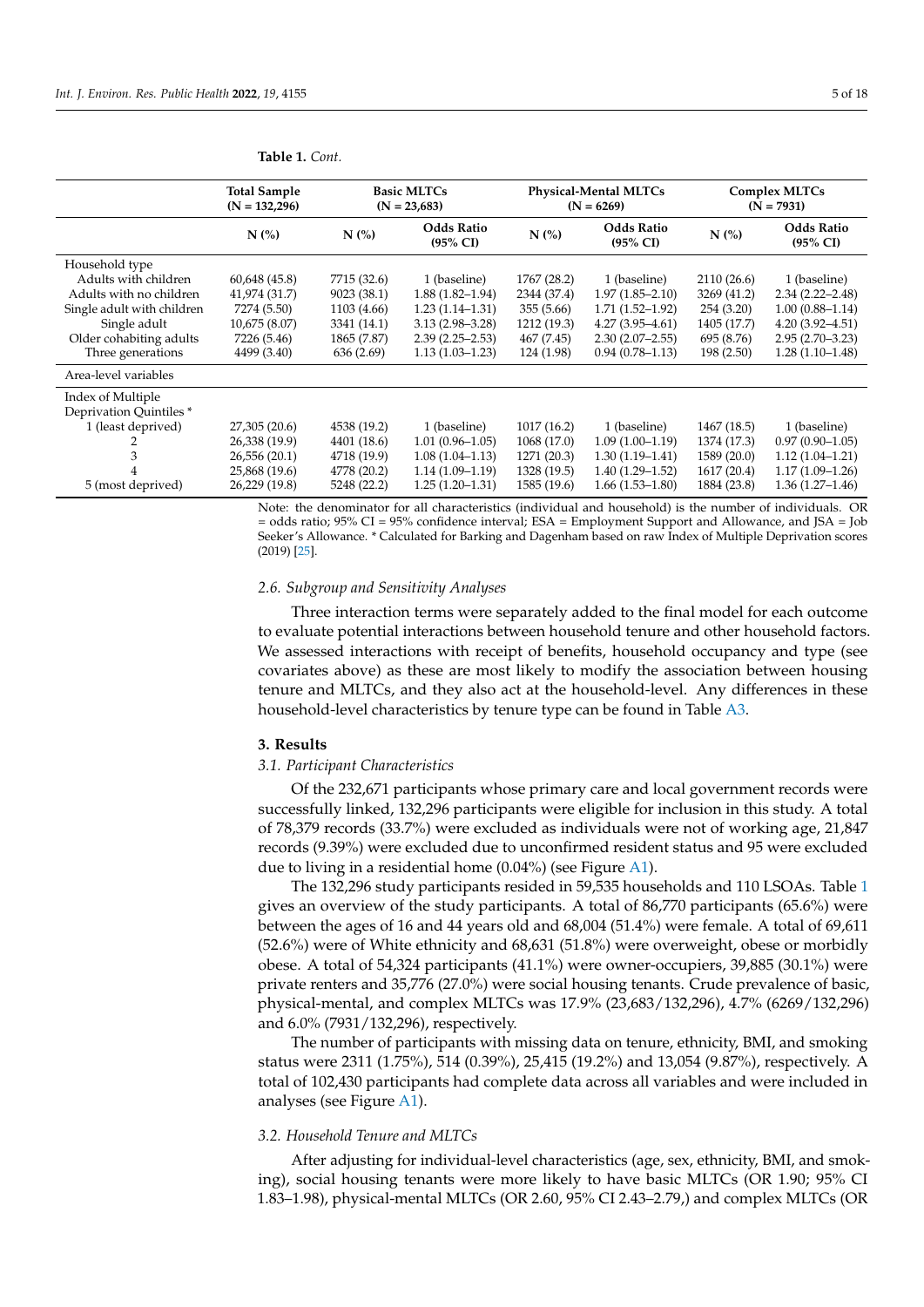|                            | <b>Total Sample</b><br>$(N = 132,296)$ | <b>Basic MLTCs</b><br>$(N = 23,683)$ |                                          |             | <b>Physical-Mental MLTCs</b><br>$(N = 6269)$ |             | <b>Complex MLTCs</b><br>$(N = 7931)$     |
|----------------------------|----------------------------------------|--------------------------------------|------------------------------------------|-------------|----------------------------------------------|-------------|------------------------------------------|
|                            | N(%                                    | $N$ (%)                              | <b>Odds Ratio</b><br>$(95\% \text{ CI})$ | $N$ (%)     | <b>Odds Ratio</b><br>$(95\% \text{ CI})$     | N(%)        | <b>Odds Ratio</b><br>$(95\% \text{ CI})$ |
| Household type             |                                        |                                      |                                          |             |                                              |             |                                          |
| Adults with children       | 60,648 (45.8)                          | 7715 (32.6)                          | 1 (baseline)                             | 1767 (28.2) | 1 (baseline)                                 | 2110 (26.6) | 1 (baseline)                             |
| Adults with no children    | 41,974 (31.7)                          | 9023 (38.1)                          | $1.88(1.82 - 1.94)$                      | 2344 (37.4) | $1.97(1.85 - 2.10)$                          | 3269 (41.2) | $2.34(2.22 - 2.48)$                      |
| Single adult with children | 7274 (5.50)                            | 1103 (4.66)                          | $1.23(1.14-1.31)$                        | 355 (5.66)  | $1.71(1.52 - 1.92)$                          | 254(3.20)   | $1.00(0.88 - 1.14)$                      |
| Single adult               | 10,675 (8.07)                          | 3341 (14.1)                          | $3.13(2.98 - 3.28)$                      | 1212 (19.3) | $4.27(3.95-4.61)$                            | 1405 (17.7) | $4.20(3.92 - 4.51)$                      |
| Older cohabiting adults    | 7226 (5.46)                            | 1865 (7.87)                          | $2.39(2.25 - 2.53)$                      | 467 (7.45)  | $2.30(2.07-2.55)$                            | 695 (8.76)  | $2.95(2.70-3.23)$                        |
| Three generations          | 4499 (3.40)                            | 636 (2.69)                           | $1.13(1.03 - 1.23)$                      | 124 (1.98)  | $0.94(0.78 - 1.13)$                          | 198(2.50)   | $1.28(1.10-1.48)$                        |
| Area-level variables       |                                        |                                      |                                          |             |                                              |             |                                          |
| Index of Multiple          |                                        |                                      |                                          |             |                                              |             |                                          |
| Deprivation Quintiles*     |                                        |                                      |                                          |             |                                              |             |                                          |
| 1 (least deprived)         | 27,305 (20.6)                          | 4538 (19.2)                          | 1 (baseline)                             | 1017(16.2)  | 1 (baseline)                                 | 1467 (18.5) | 1 (baseline)                             |
|                            | 26,338 (19.9)                          | 4401 (18.6)                          | $1.01(0.96 - 1.05)$                      | 1068 (17.0) | $1.09(1.00-1.19)$                            | 1374 (17.3) | $0.97(0.90 - 1.05)$                      |
| 3                          | 26,556 (20.1)                          | 4718 (19.9)                          | $1.08(1.04-1.13)$                        | 1271 (20.3) | $1.30(1.19-1.41)$                            | 1589 (20.0) | $1.12(1.04-1.21)$                        |
| 4                          | 25,868 (19.6)                          | 4778 (20.2)                          | $1.14(1.09-1.19)$                        | 1328 (19.5) | $1.40(1.29-1.52)$                            | 1617(20.4)  | $1.17(1.09-1.26)$                        |
| 5 (most deprived)          | 26,229 (19.8)                          | 5248 (22.2)                          | $1.25(1.20-1.31)$                        | 1585 (19.6) | $1.66(1.53 - 1.80)$                          | 1884 (23.8) | $1.36(1.27-1.46)$                        |

#### **Table 1.** *Cont.*

Note: the denominator for all characteristics (individual and household) is the number of individuals. OR = odds ratio; 95% CI = 95% confidence interval; ESA = Employment Support and Allowance, and JSA = Job Seeker's Allowance. \* Calculated for Barking and Dagenham based on raw Index of Multiple Deprivation scores (2019) [\[25\]](#page-16-16).

#### *2.6. Subgroup and Sensitivity Analyses*

Three interaction terms were separately added to the final model for each outcome to evaluate potential interactions between household tenure and other household factors. We assessed interactions with receipt of benefits, household occupancy and type (see covariates above) as these are most likely to modify the association between housing tenure and MLTCs, and they also act at the household-level. Any differences in these household-level characteristics by tenure type can be found in Table [A3.](#page-13-0)

#### **3. Results**

#### *3.1. Participant Characteristics*

Of the 232,671 participants whose primary care and local government records were successfully linked, 132,296 participants were eligible for inclusion in this study. A total of 78,379 records (33.7%) were excluded as individuals were not of working age, 21,847 records (9.39%) were excluded due to unconfirmed resident status and 95 were excluded due to living in a residential home (0.04%) (see Figure [A1\)](#page-10-0).

The 132,296 study participants resided in 59,535 households and 110 LSOAs. Table [1](#page-3-0) gives an overview of the study participants. A total of 86,770 participants (65.6%) were between the ages of 16 and 44 years old and 68,004 (51.4%) were female. A total of 69,611 (52.6%) were of White ethnicity and 68,631 (51.8%) were overweight, obese or morbidly obese. A total of 54,324 participants (41.1%) were owner-occupiers, 39,885 (30.1%) were private renters and 35,776 (27.0%) were social housing tenants. Crude prevalence of basic, physical-mental, and complex MLTCs was 17.9% (23,683/132,296), 4.7% (6269/132,296) and 6.0% (7931/132,296), respectively.

The number of participants with missing data on tenure, ethnicity, BMI, and smoking status were 2311 (1.75%), 514 (0.39%), 25,415 (19.2%) and 13,054 (9.87%), respectively. A total of 102,430 participants had complete data across all variables and were included in analyses (see Figure [A1\)](#page-10-0).

#### *3.2. Household Tenure and MLTCs*

After adjusting for individual-level characteristics (age, sex, ethnicity, BMI, and smoking), social housing tenants were more likely to have basic MLTCs (OR 1.90; 95% CI 1.83–1.98), physical-mental MLTCs (OR 2.60, 95% CI 2.43–2.79,) and complex MLTCs (OR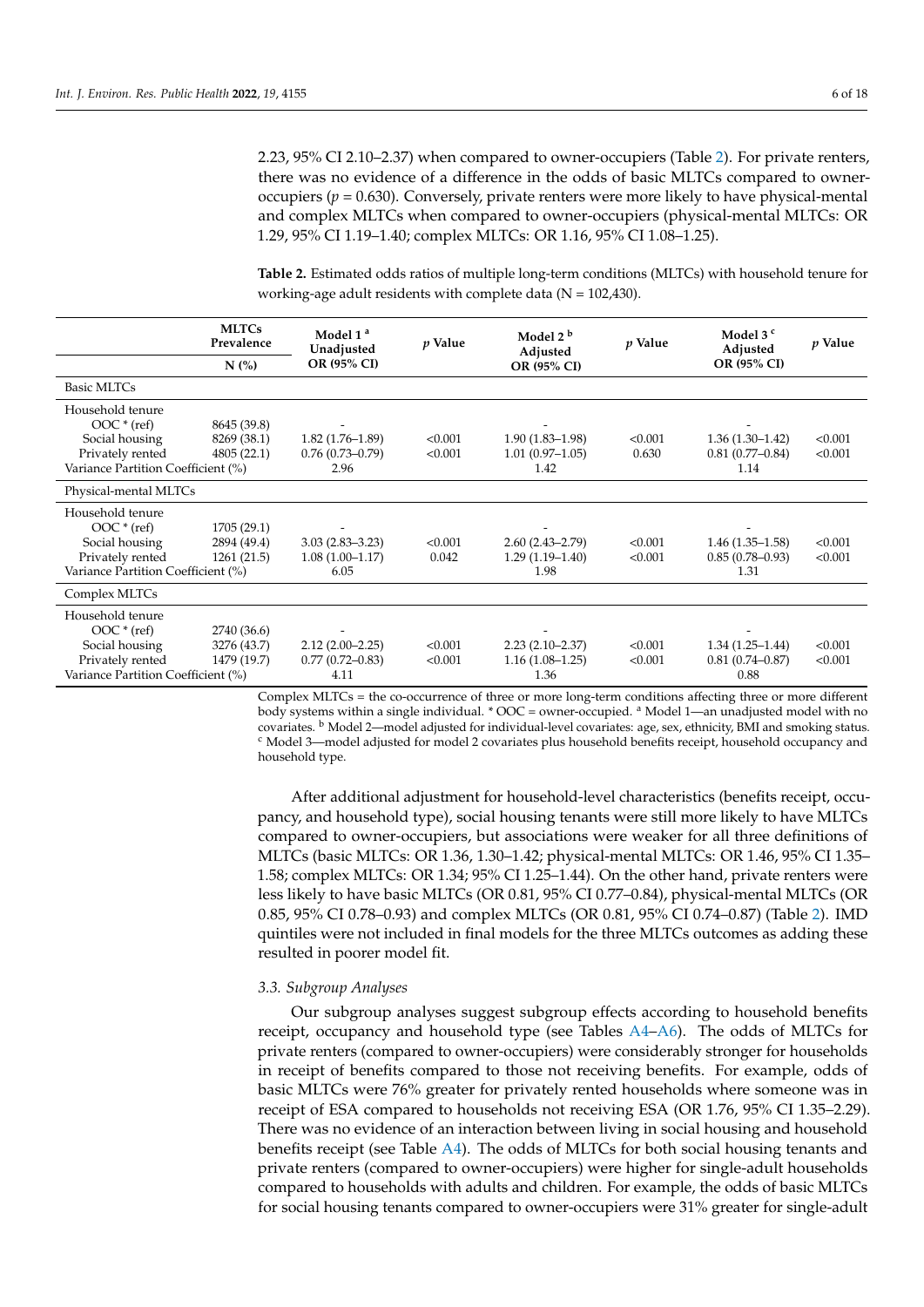2.23, 95% CI 2.10–2.37) when compared to owner-occupiers (Table [2\)](#page-5-0). For private renters, there was no evidence of a difference in the odds of basic MLTCs compared to owneroccupiers  $(p = 0.630)$ . Conversely, private renters were more likely to have physical-mental and complex MLTCs when compared to owner-occupiers (physical-mental MLTCs: OR 1.29, 95% CI 1.19–1.40; complex MLTCs: OR 1.16, 95% CI 1.08–1.25).

<span id="page-5-0"></span>**Table 2.** Estimated odds ratios of multiple long-term conditions (MLTCs) with household tenure for working-age adult residents with complete data ( $N = 102,430$ ).

|                                    | <b>MLTCs</b><br>Model 1 <sup>a</sup><br>Prevalence<br>Unadjusted |                     | p Value | Model 2 <sup>b</sup><br>Adjusted | $p$ Value | Model $3c$<br>Adjusted | p Value |
|------------------------------------|------------------------------------------------------------------|---------------------|---------|----------------------------------|-----------|------------------------|---------|
|                                    | N(%)                                                             | OR (95% CI)         |         | OR (95% CI)                      |           | OR (95% CI)            |         |
| <b>Basic MLTCs</b>                 |                                                                  |                     |         |                                  |           |                        |         |
| Household tenure                   |                                                                  |                     |         |                                  |           |                        |         |
| $OOC * (ref)$                      | 8645 (39.8)                                                      |                     |         |                                  |           |                        |         |
| Social housing                     | 8269 (38.1)                                                      | $1.82(1.76 - 1.89)$ | < 0.001 | $1.90(1.83 - 1.98)$              | < 0.001   | $1.36(1.30-1.42)$      | < 0.001 |
| Privately rented                   | 4805(22.1)                                                       | $0.76(0.73 - 0.79)$ | < 0.001 | $1.01(0.97-1.05)$                | 0.630     | $0.81(0.77-0.84)$      | < 0.001 |
| Variance Partition Coefficient (%) |                                                                  | 2.96                |         | 1.42                             |           | 1.14                   |         |
| Physical-mental MLTCs              |                                                                  |                     |         |                                  |           |                        |         |
| Household tenure                   |                                                                  |                     |         |                                  |           |                        |         |
| $OOC * (ref)$                      | 1705(29.1)                                                       |                     |         |                                  |           |                        |         |
| Social housing                     | 2894 (49.4)                                                      | $3.03(2.83 - 3.23)$ | < 0.001 | $2.60(2.43 - 2.79)$              | < 0.001   | $1.46(1.35-1.58)$      | < 0.001 |
| Privately rented                   | 1261(21.5)                                                       | $1.08(1.00-1.17)$   | 0.042   | $1.29(1.19-1.40)$                | < 0.001   | $0.85(0.78-0.93)$      | < 0.001 |
| Variance Partition Coefficient (%) |                                                                  | 6.05                |         | 1.98                             |           | 1.31                   |         |
| Complex MLTCs                      |                                                                  |                     |         |                                  |           |                        |         |
| Household tenure                   |                                                                  |                     |         |                                  |           |                        |         |
| $OOC * (ref)$                      | 2740 (36.6)                                                      |                     |         |                                  |           |                        |         |
| Social housing                     | 3276 (43.7)                                                      | $2.12(2.00 - 2.25)$ | < 0.001 | $2.23(2.10-2.37)$                | < 0.001   | $1.34(1.25-1.44)$      | < 0.001 |
| Privately rented                   | 1479 (19.7)                                                      | $0.77(0.72 - 0.83)$ | < 0.001 | $1.16(1.08-1.25)$                | < 0.001   | $0.81(0.74 - 0.87)$    | < 0.001 |
| Variance Partition Coefficient (%) |                                                                  | 4.11                |         | 1.36                             |           | 0.88                   |         |

Complex MLTCs = the co-occurrence of three or more long-term conditions affecting three or more different body systems within a single individual. \* OOC = owner-occupied. <sup>a</sup> Model 1—an unadjusted model with no covariates. <sup>b</sup> Model 2—model adjusted for individual-level covariates: age, sex, ethnicity, BMI and smoking status. <sup>c</sup> Model 3—model adjusted for model 2 covariates plus household benefits receipt, household occupancy and household type.

After additional adjustment for household-level characteristics (benefits receipt, occupancy, and household type), social housing tenants were still more likely to have MLTCs compared to owner-occupiers, but associations were weaker for all three definitions of MLTCs (basic MLTCs: OR 1.36, 1.30–1.42; physical-mental MLTCs: OR 1.46, 95% CI 1.35– 1.58; complex MLTCs: OR 1.34; 95% CI 1.25–1.44). On the other hand, private renters were less likely to have basic MLTCs (OR 0.81, 95% CI 0.77–0.84), physical-mental MLTCs (OR 0.85, 95% CI 0.78–0.93) and complex MLTCs (OR 0.81, 95% CI 0.74–0.87) (Table [2\)](#page-5-0). IMD quintiles were not included in final models for the three MLTCs outcomes as adding these resulted in poorer model fit.

#### *3.3. Subgroup Analyses*

Our subgroup analyses suggest subgroup effects according to household benefits receipt, occupancy and household type (see Tables [A4](#page-13-1)[–A6\)](#page-14-0). The odds of MLTCs for private renters (compared to owner-occupiers) were considerably stronger for households in receipt of benefits compared to those not receiving benefits. For example, odds of basic MLTCs were 76% greater for privately rented households where someone was in receipt of ESA compared to households not receiving ESA (OR 1.76, 95% CI 1.35–2.29). There was no evidence of an interaction between living in social housing and household benefits receipt (see Table [A4\)](#page-13-1). The odds of MLTCs for both social housing tenants and private renters (compared to owner-occupiers) were higher for single-adult households compared to households with adults and children. For example, the odds of basic MLTCs for social housing tenants compared to owner-occupiers were 31% greater for single-adult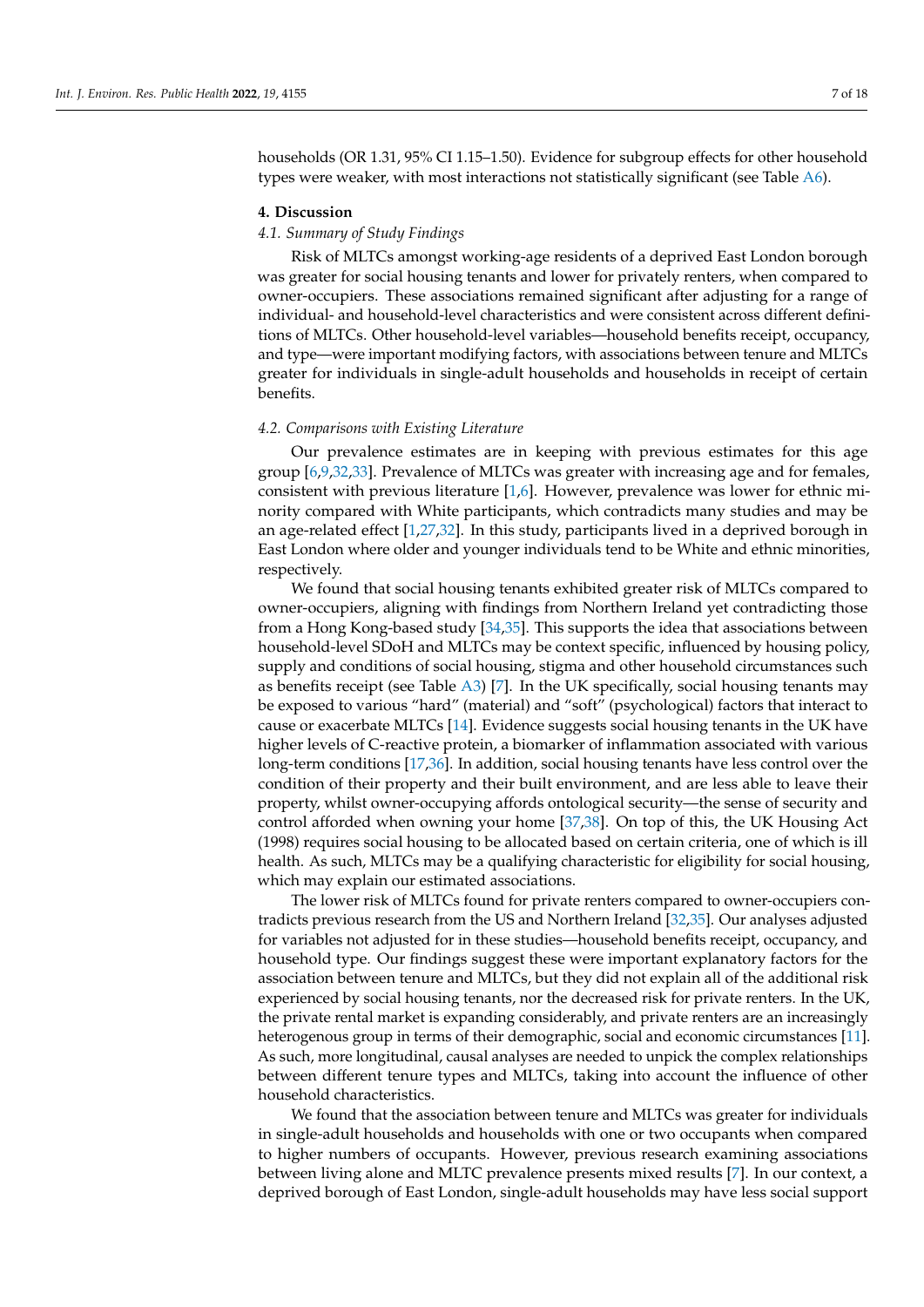households (OR 1.31, 95% CI 1.15–1.50). Evidence for subgroup effects for other household types were weaker, with most interactions not statistically significant (see Table [A6\)](#page-14-0).

#### **4. Discussion**

## *4.1. Summary of Study Findings*

Risk of MLTCs amongst working-age residents of a deprived East London borough was greater for social housing tenants and lower for privately renters, when compared to owner-occupiers. These associations remained significant after adjusting for a range of individual- and household-level characteristics and were consistent across different definitions of MLTCs. Other household-level variables—household benefits receipt, occupancy, and type—were important modifying factors, with associations between tenure and MLTCs greater for individuals in single-adult households and households in receipt of certain benefits.

## *4.2. Comparisons with Existing Literature*

Our prevalence estimates are in keeping with previous estimates for this age group [\[6,](#page-15-1)[9,](#page-16-0)[32,](#page-16-22)[33\]](#page-16-23). Prevalence of MLTCs was greater with increasing age and for females, consistent with previous literature [\[1,](#page-15-0)[6\]](#page-15-1). However, prevalence was lower for ethnic minority compared with White participants, which contradicts many studies and may be an age-related effect [\[1](#page-15-0)[,27](#page-16-18)[,32\]](#page-16-22). In this study, participants lived in a deprived borough in East London where older and younger individuals tend to be White and ethnic minorities, respectively.

We found that social housing tenants exhibited greater risk of MLTCs compared to owner-occupiers, aligning with findings from Northern Ireland yet contradicting those from a Hong Kong-based study [\[34](#page-16-24)[,35\]](#page-16-25). This supports the idea that associations between household-level SDoH and MLTCs may be context specific, influenced by housing policy, supply and conditions of social housing, stigma and other household circumstances such as benefits receipt (see Table  $A3$ ) [\[7\]](#page-15-2). In the UK specifically, social housing tenants may be exposed to various "hard" (material) and "soft" (psychological) factors that interact to cause or exacerbate MLTCs [\[14\]](#page-16-6). Evidence suggests social housing tenants in the UK have higher levels of C-reactive protein, a biomarker of inflammation associated with various long-term conditions [\[17](#page-16-8)[,36\]](#page-16-26). In addition, social housing tenants have less control over the condition of their property and their built environment, and are less able to leave their property, whilst owner-occupying affords ontological security—the sense of security and control afforded when owning your home [\[37,](#page-16-27)[38\]](#page-17-0). On top of this, the UK Housing Act (1998) requires social housing to be allocated based on certain criteria, one of which is ill health. As such, MLTCs may be a qualifying characteristic for eligibility for social housing, which may explain our estimated associations.

The lower risk of MLTCs found for private renters compared to owner-occupiers contradicts previous research from the US and Northern Ireland [\[32,](#page-16-22)[35\]](#page-16-25). Our analyses adjusted for variables not adjusted for in these studies—household benefits receipt, occupancy, and household type. Our findings suggest these were important explanatory factors for the association between tenure and MLTCs, but they did not explain all of the additional risk experienced by social housing tenants, nor the decreased risk for private renters. In the UK, the private rental market is expanding considerably, and private renters are an increasingly heterogenous group in terms of their demographic, social and economic circumstances [\[11\]](#page-16-2). As such, more longitudinal, causal analyses are needed to unpick the complex relationships between different tenure types and MLTCs, taking into account the influence of other household characteristics.

We found that the association between tenure and MLTCs was greater for individuals in single-adult households and households with one or two occupants when compared to higher numbers of occupants. However, previous research examining associations between living alone and MLTC prevalence presents mixed results [\[7\]](#page-15-2). In our context, a deprived borough of East London, single-adult households may have less social support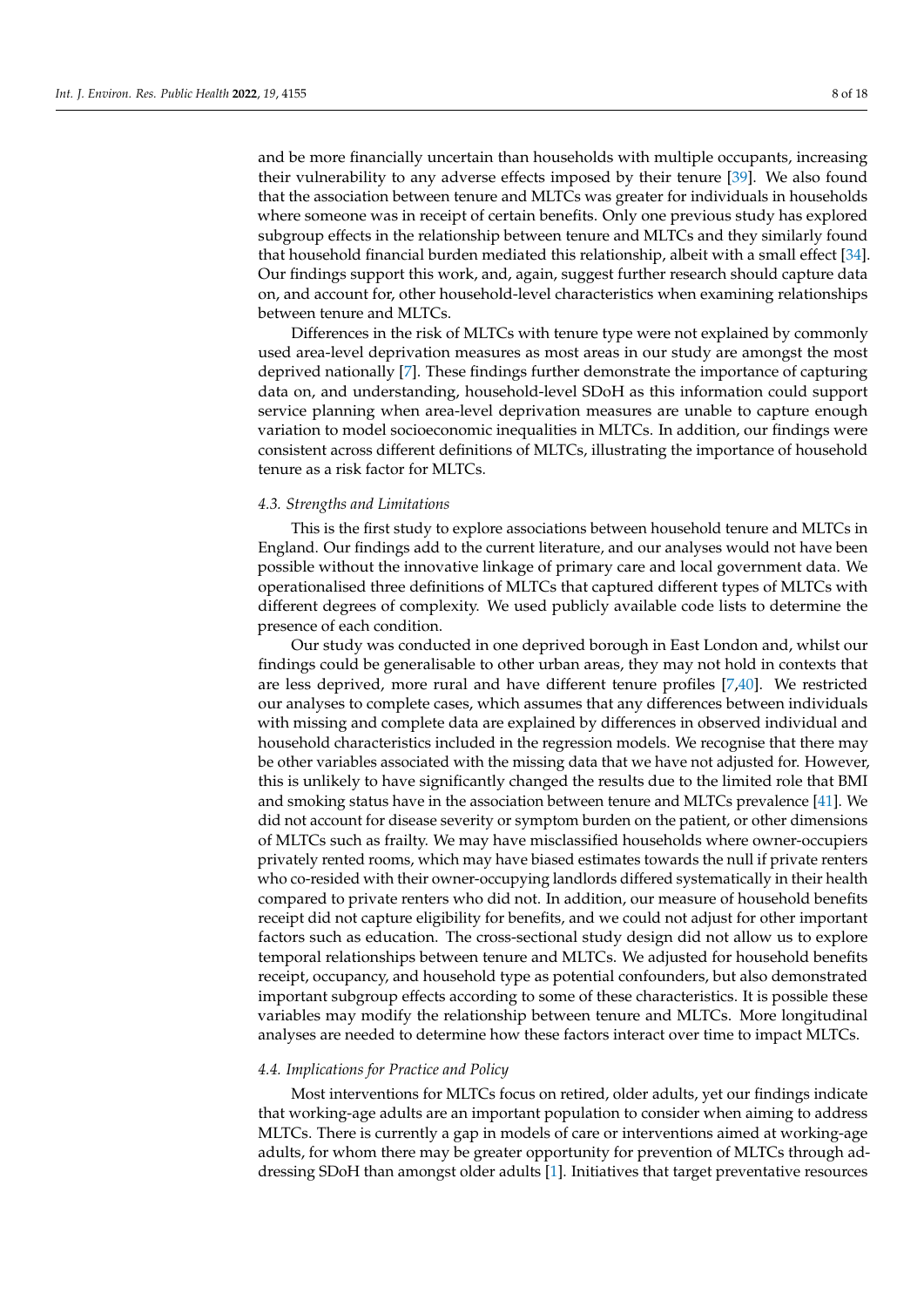and be more financially uncertain than households with multiple occupants, increasing their vulnerability to any adverse effects imposed by their tenure [\[39\]](#page-17-1). We also found that the association between tenure and MLTCs was greater for individuals in households where someone was in receipt of certain benefits. Only one previous study has explored subgroup effects in the relationship between tenure and MLTCs and they similarly found that household financial burden mediated this relationship, albeit with a small effect [\[34\]](#page-16-24). Our findings support this work, and, again, suggest further research should capture data on, and account for, other household-level characteristics when examining relationships between tenure and MLTCs.

Differences in the risk of MLTCs with tenure type were not explained by commonly used area-level deprivation measures as most areas in our study are amongst the most deprived nationally [\[7\]](#page-15-2). These findings further demonstrate the importance of capturing data on, and understanding, household-level SDoH as this information could support service planning when area-level deprivation measures are unable to capture enough variation to model socioeconomic inequalities in MLTCs. In addition, our findings were consistent across different definitions of MLTCs, illustrating the importance of household tenure as a risk factor for MLTCs.

## *4.3. Strengths and Limitations*

This is the first study to explore associations between household tenure and MLTCs in England. Our findings add to the current literature, and our analyses would not have been possible without the innovative linkage of primary care and local government data. We operationalised three definitions of MLTCs that captured different types of MLTCs with different degrees of complexity. We used publicly available code lists to determine the presence of each condition.

Our study was conducted in one deprived borough in East London and, whilst our findings could be generalisable to other urban areas, they may not hold in contexts that are less deprived, more rural and have different tenure profiles [\[7](#page-15-2)[,40\]](#page-17-2). We restricted our analyses to complete cases, which assumes that any differences between individuals with missing and complete data are explained by differences in observed individual and household characteristics included in the regression models. We recognise that there may be other variables associated with the missing data that we have not adjusted for. However, this is unlikely to have significantly changed the results due to the limited role that BMI and smoking status have in the association between tenure and MLTCs prevalence [\[41\]](#page-17-3). We did not account for disease severity or symptom burden on the patient, or other dimensions of MLTCs such as frailty. We may have misclassified households where owner-occupiers privately rented rooms, which may have biased estimates towards the null if private renters who co-resided with their owner-occupying landlords differed systematically in their health compared to private renters who did not. In addition, our measure of household benefits receipt did not capture eligibility for benefits, and we could not adjust for other important factors such as education. The cross-sectional study design did not allow us to explore temporal relationships between tenure and MLTCs. We adjusted for household benefits receipt, occupancy, and household type as potential confounders, but also demonstrated important subgroup effects according to some of these characteristics. It is possible these variables may modify the relationship between tenure and MLTCs. More longitudinal analyses are needed to determine how these factors interact over time to impact MLTCs.

#### *4.4. Implications for Practice and Policy*

Most interventions for MLTCs focus on retired, older adults, yet our findings indicate that working-age adults are an important population to consider when aiming to address MLTCs. There is currently a gap in models of care or interventions aimed at working-age adults, for whom there may be greater opportunity for prevention of MLTCs through addressing SDoH than amongst older adults [\[1\]](#page-15-0). Initiatives that target preventative resources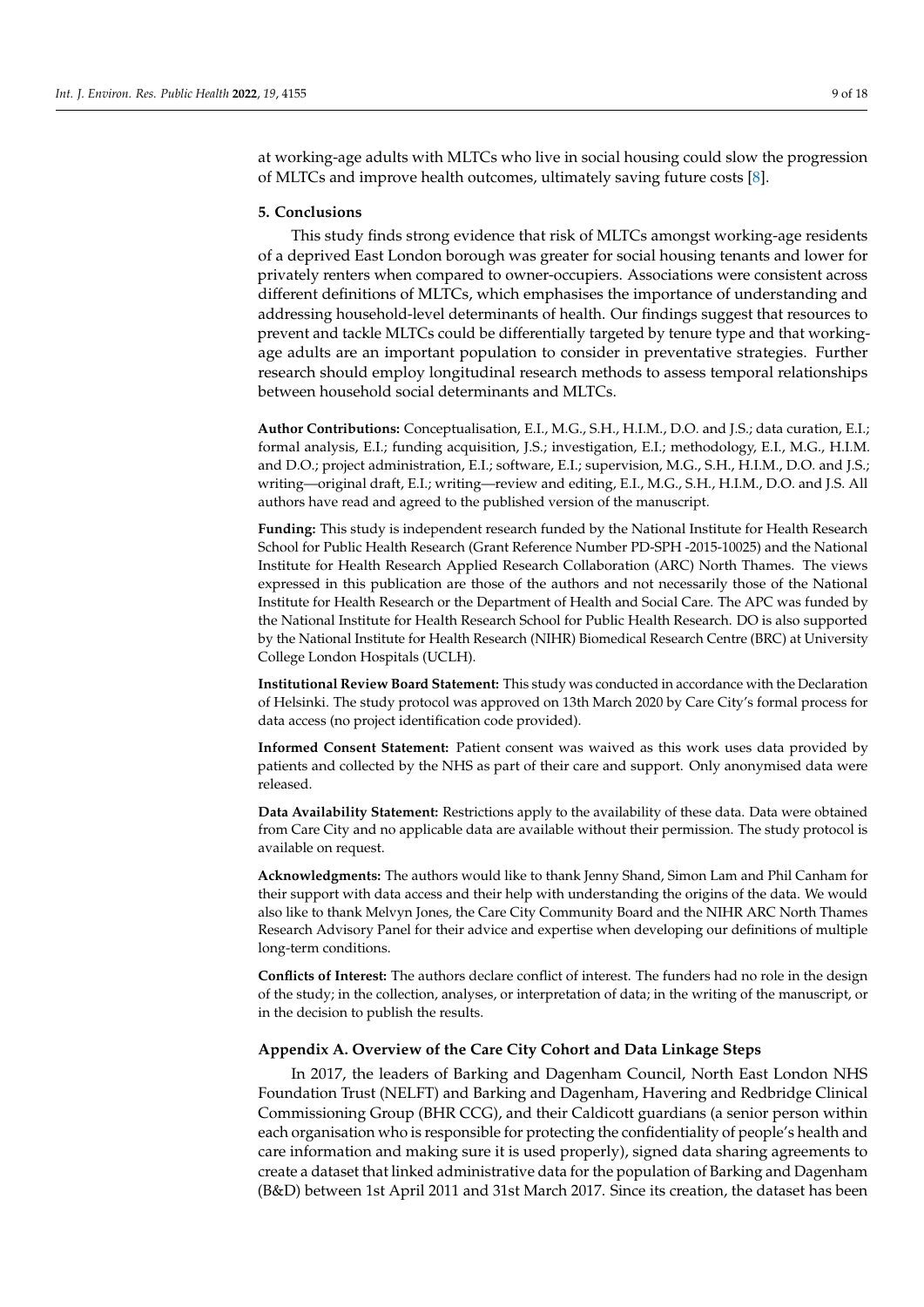at working-age adults with MLTCs who live in social housing could slow the progression of MLTCs and improve health outcomes, ultimately saving future costs [\[8\]](#page-15-3).

#### **5. Conclusions**

This study finds strong evidence that risk of MLTCs amongst working-age residents of a deprived East London borough was greater for social housing tenants and lower for privately renters when compared to owner-occupiers. Associations were consistent across different definitions of MLTCs, which emphasises the importance of understanding and addressing household-level determinants of health. Our findings suggest that resources to prevent and tackle MLTCs could be differentially targeted by tenure type and that workingage adults are an important population to consider in preventative strategies. Further research should employ longitudinal research methods to assess temporal relationships between household social determinants and MLTCs.

**Author Contributions:** Conceptualisation, E.I., M.G., S.H., H.I.M., D.O. and J.S.; data curation, E.I.; formal analysis, E.I.; funding acquisition, J.S.; investigation, E.I.; methodology, E.I., M.G., H.I.M. and D.O.; project administration, E.I.; software, E.I.; supervision, M.G., S.H., H.I.M., D.O. and J.S.; writing—original draft, E.I.; writing—review and editing, E.I., M.G., S.H., H.I.M., D.O. and J.S. All authors have read and agreed to the published version of the manuscript.

**Funding:** This study is independent research funded by the National Institute for Health Research School for Public Health Research (Grant Reference Number PD-SPH -2015-10025) and the National Institute for Health Research Applied Research Collaboration (ARC) North Thames. The views expressed in this publication are those of the authors and not necessarily those of the National Institute for Health Research or the Department of Health and Social Care. The APC was funded by the National Institute for Health Research School for Public Health Research. DO is also supported by the National Institute for Health Research (NIHR) Biomedical Research Centre (BRC) at University College London Hospitals (UCLH).

**Institutional Review Board Statement:** This study was conducted in accordance with the Declaration of Helsinki. The study protocol was approved on 13th March 2020 by Care City's formal process for data access (no project identification code provided).

**Informed Consent Statement:** Patient consent was waived as this work uses data provided by patients and collected by the NHS as part of their care and support. Only anonymised data were released.

**Data Availability Statement:** Restrictions apply to the availability of these data. Data were obtained from Care City and no applicable data are available without their permission. The study protocol is available on request.

**Acknowledgments:** The authors would like to thank Jenny Shand, Simon Lam and Phil Canham for their support with data access and their help with understanding the origins of the data. We would also like to thank Melvyn Jones, the Care City Community Board and the NIHR ARC North Thames Research Advisory Panel for their advice and expertise when developing our definitions of multiple long-term conditions.

**Conflicts of Interest:** The authors declare conflict of interest. The funders had no role in the design of the study; in the collection, analyses, or interpretation of data; in the writing of the manuscript, or in the decision to publish the results.

## <span id="page-8-0"></span>**Appendix A. Overview of the Care City Cohort and Data Linkage Steps**

In 2017, the leaders of Barking and Dagenham Council, North East London NHS Foundation Trust (NELFT) and Barking and Dagenham, Havering and Redbridge Clinical Commissioning Group (BHR CCG), and their Caldicott guardians (a senior person within each organisation who is responsible for protecting the confidentiality of people's health and care information and making sure it is used properly), signed data sharing agreements to create a dataset that linked administrative data for the population of Barking and Dagenham (B&D) between 1st April 2011 and 31st March 2017. Since its creation, the dataset has been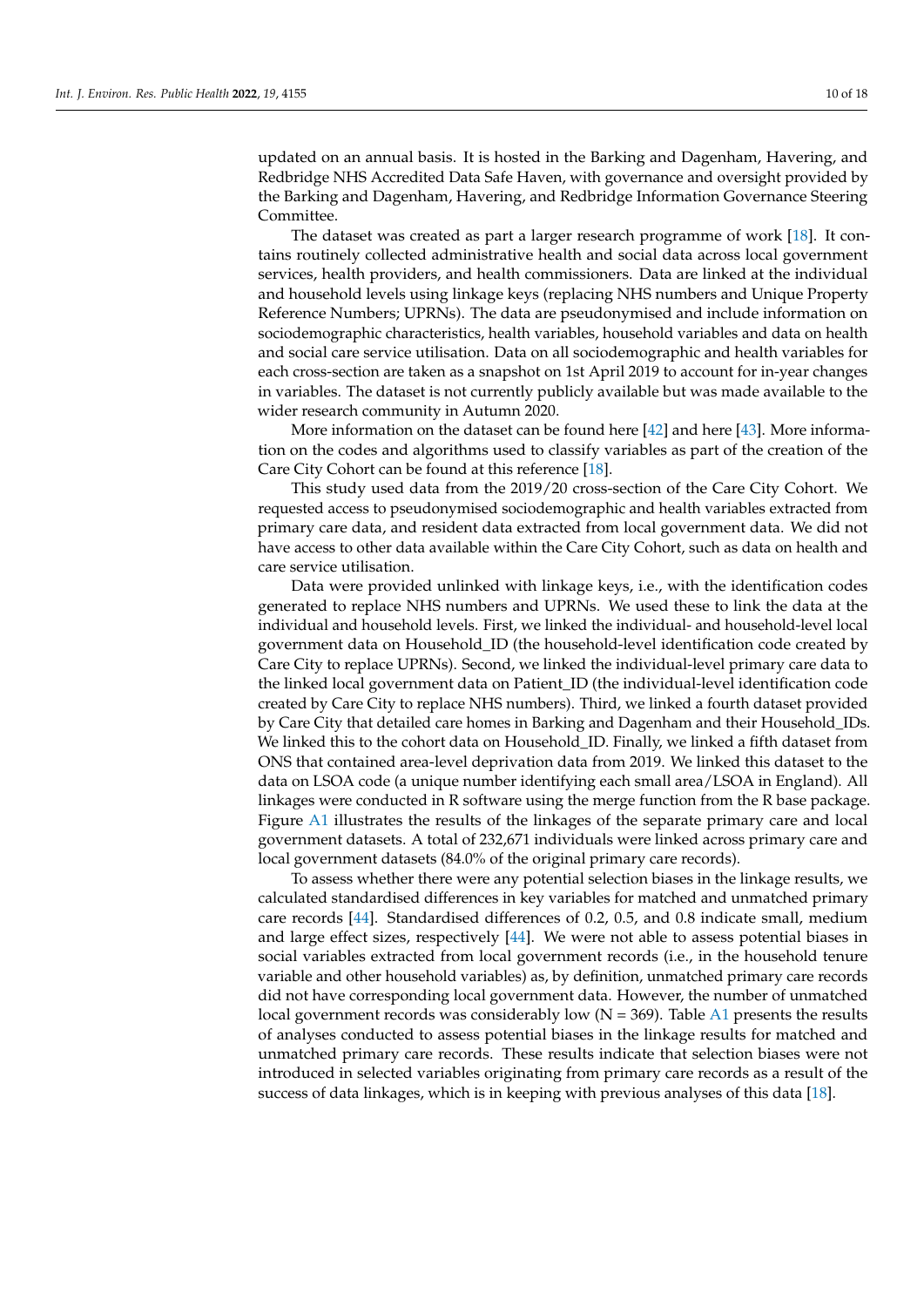updated on an annual basis. It is hosted in the Barking and Dagenham, Havering, and Redbridge NHS Accredited Data Safe Haven, with governance and oversight provided by the Barking and Dagenham, Havering, and Redbridge Information Governance Steering Committee.

The dataset was created as part a larger research programme of work [\[18\]](#page-16-9). It contains routinely collected administrative health and social data across local government services, health providers, and health commissioners. Data are linked at the individual and household levels using linkage keys (replacing NHS numbers and Unique Property Reference Numbers; UPRNs). The data are pseudonymised and include information on sociodemographic characteristics, health variables, household variables and data on health and social care service utilisation. Data on all sociodemographic and health variables for each cross-section are taken as a snapshot on 1st April 2019 to account for in-year changes in variables. The dataset is not currently publicly available but was made available to the wider research community in Autumn 2020.

More information on the dataset can be found here  $[42]$  and here  $[43]$ . More information on the codes and algorithms used to classify variables as part of the creation of the Care City Cohort can be found at this reference [\[18\]](#page-16-9).

This study used data from the 2019/20 cross-section of the Care City Cohort. We requested access to pseudonymised sociodemographic and health variables extracted from primary care data, and resident data extracted from local government data. We did not have access to other data available within the Care City Cohort, such as data on health and care service utilisation.

Data were provided unlinked with linkage keys, i.e., with the identification codes generated to replace NHS numbers and UPRNs. We used these to link the data at the individual and household levels. First, we linked the individual- and household-level local government data on Household\_ID (the household-level identification code created by Care City to replace UPRNs). Second, we linked the individual-level primary care data to the linked local government data on Patient\_ID (the individual-level identification code created by Care City to replace NHS numbers). Third, we linked a fourth dataset provided by Care City that detailed care homes in Barking and Dagenham and their Household\_IDs. We linked this to the cohort data on Household\_ID. Finally, we linked a fifth dataset from ONS that contained area-level deprivation data from 2019. We linked this dataset to the data on LSOA code (a unique number identifying each small area/LSOA in England). All linkages were conducted in R software using the merge function from the R base package. Figure [A1](#page-10-0) illustrates the results of the linkages of the separate primary care and local government datasets. A total of 232,671 individuals were linked across primary care and local government datasets (84.0% of the original primary care records).

To assess whether there were any potential selection biases in the linkage results, we calculated standardised differences in key variables for matched and unmatched primary care records [\[44\]](#page-17-6). Standardised differences of 0.2, 0.5, and 0.8 indicate small, medium and large effect sizes, respectively [\[44\]](#page-17-6). We were not able to assess potential biases in social variables extracted from local government records (i.e., in the household tenure variable and other household variables) as, by definition, unmatched primary care records did not have corresponding local government data. However, the number of unmatched local government records was considerably low  $(N = 369)$ . Table [A1](#page-11-0) presents the results of analyses conducted to assess potential biases in the linkage results for matched and unmatched primary care records. These results indicate that selection biases were not introduced in selected variables originating from primary care records as a result of the success of data linkages, which is in keeping with previous analyses of this data [\[18\]](#page-16-9).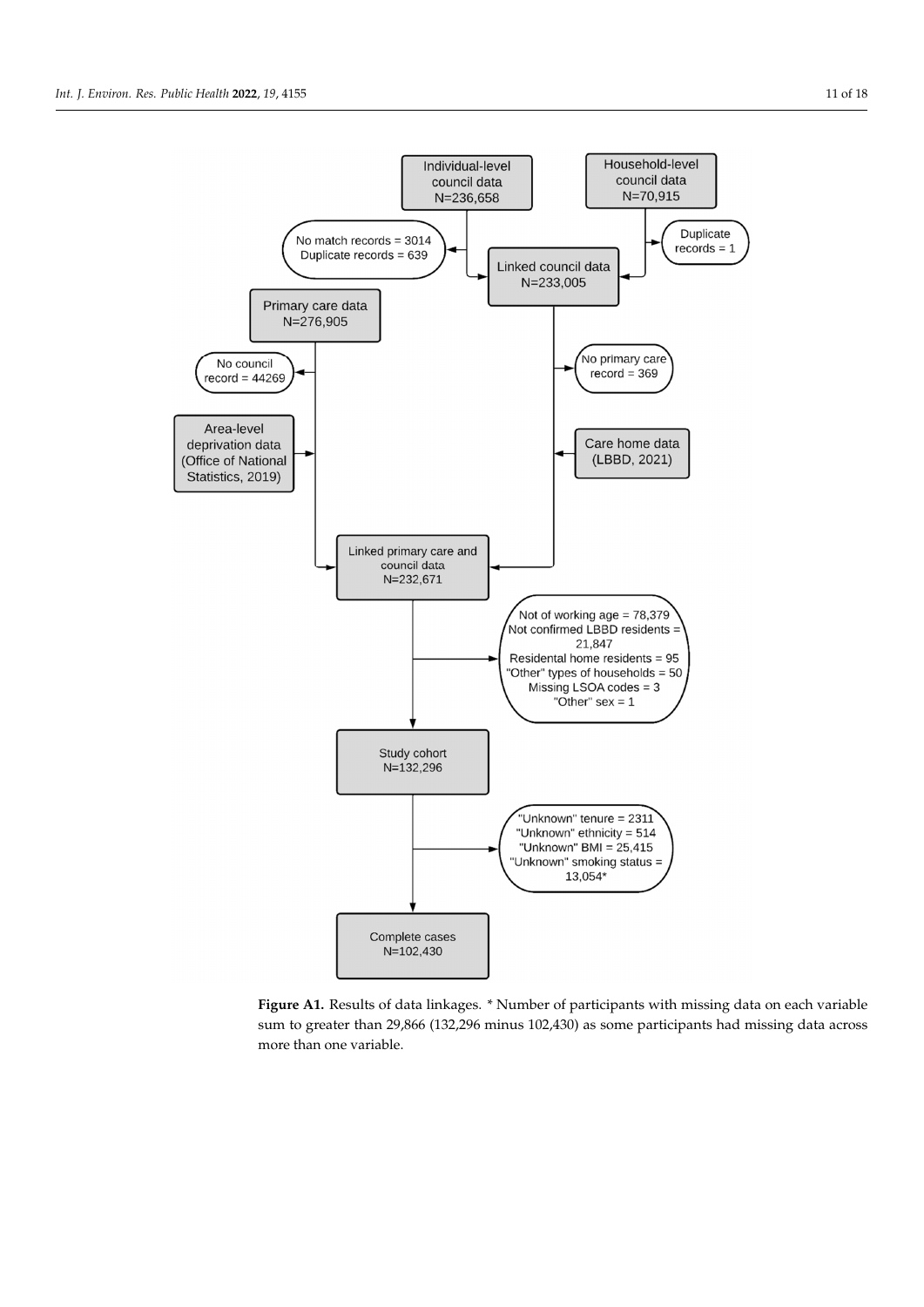<span id="page-10-0"></span>

**Figure A1.** Results of data linkages. \* Number of participants with missing data on each variable **Figure A1.** Results of data linkages. \* Number of participants with missing data on each variable sum to greater than 29,866 (132,296 minus 102,430) as some participants had missing data across sum to greater than 29,866 (132,296 minus 102,430) as some participants had missing data across more than one variable. more than one variable.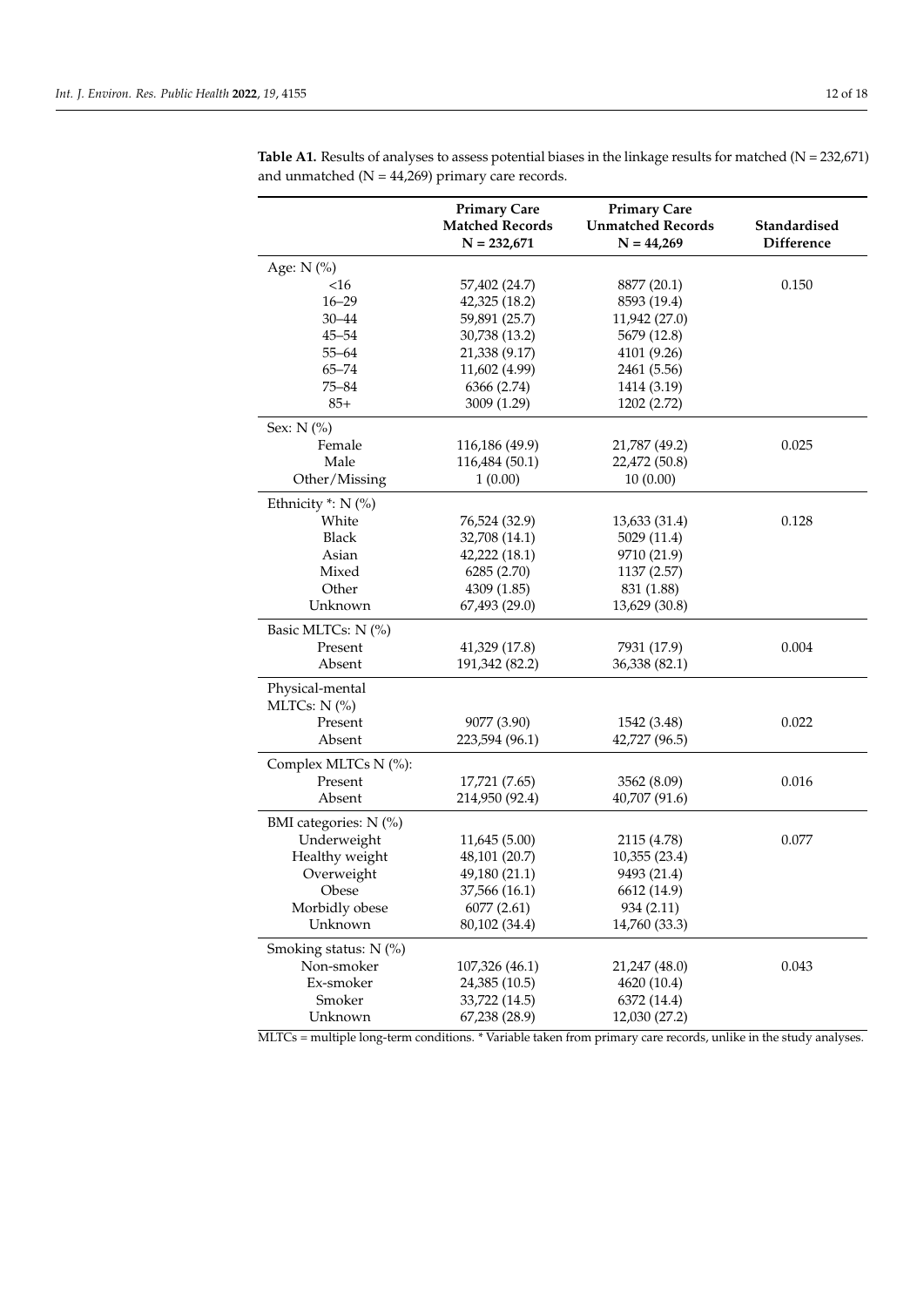|                       | <b>Primary Care</b>    | <b>Primary Care</b>      |                   |
|-----------------------|------------------------|--------------------------|-------------------|
|                       | <b>Matched Records</b> | <b>Unmatched Records</b> | Standardised      |
|                       | $N = 232,671$          | $N = 44,269$             | <b>Difference</b> |
| Age: N (%)            |                        |                          |                   |
| $<$ 16                | 57,402 (24.7)          | 8877 (20.1)              | 0.150             |
| $16 - 29$             | 42,325 (18.2)          | 8593 (19.4)              |                   |
| $30 - 44$             | 59,891 (25.7)          | 11,942 (27.0)            |                   |
| $45 - 54$             | 30,738 (13.2)          | 5679 (12.8)              |                   |
| $55 - 64$             | 21,338 (9.17)          | 4101 (9.26)              |                   |
| $65 - 74$             | 11,602 (4.99)          | 2461 (5.56)              |                   |
| $75 - 84$             | 6366 (2.74)            | 1414 (3.19)              |                   |
| $85+$                 | 3009 (1.29)            | 1202 (2.72)              |                   |
| Sex: N (%)            |                        |                          |                   |
| Female                | 116,186 (49.9)         | 21,787 (49.2)            | 0.025             |
| Male                  | 116,484 (50.1)         | 22,472 (50.8)            |                   |
| Other/Missing         | 1(0.00)                | 10(0.00)                 |                   |
| Ethnicity *: N (%)    |                        |                          |                   |
| White                 | 76,524 (32.9)          | 13,633 (31.4)            | 0.128             |
| <b>Black</b>          | 32,708 (14.1)          | 5029 (11.4)              |                   |
| Asian                 | 42,222 (18.1)          | 9710 (21.9)              |                   |
| Mixed                 | 6285 (2.70)            | 1137 (2.57)              |                   |
| Other                 | 4309 (1.85)            | 831 (1.88)               |                   |
| Unknown               | 67,493 (29.0)          | 13,629 (30.8)            |                   |
| Basic MLTCs: N (%)    |                        |                          |                   |
| Present               | 41,329 (17.8)          | 7931 (17.9)              | 0.004             |
| Absent                | 191,342 (82.2)         | 36,338 (82.1)            |                   |
| Physical-mental       |                        |                          |                   |
| MLTCs: $N$ (%)        |                        |                          |                   |
| Present               | 9077 (3.90)            | 1542 (3.48)              | 0.022             |
| Absent                | 223,594 (96.1)         | 42,727 (96.5)            |                   |
| Complex MLTCs N (%):  |                        |                          |                   |
| Present               | 17,721 (7.65)          | 3562 (8.09)              | 0.016             |
| Absent                | 214,950 (92.4)         | 40,707 (91.6)            |                   |
| BMI categories: N (%) |                        |                          |                   |
| Underweight           | 11,645 (5.00)          | 2115 (4.78)              | 0.077             |
| Healthy weight        | 48,101 (20.7)          | 10,355 (23.4)            |                   |
| Overweight            | 49,180 (21.1)          | 9493 (21.4)              |                   |
| Obese                 | 37,566 (16.1)          | 6612 (14.9)              |                   |
| Morbidly obese        | 6077 (2.61)            | 934 (2.11)               |                   |
| Unknown               | 80,102 (34.4)          | 14,760 (33.3)            |                   |
| Smoking status: N (%) |                        |                          |                   |
| Non-smoker            | 107,326 (46.1)         | 21,247 (48.0)            | 0.043             |
| Ex-smoker             | 24,385 (10.5)          | 4620 (10.4)              |                   |
| Smoker                | 33,722 (14.5)          | 6372 (14.4)              |                   |
| Unknown               | 67,238 (28.9)          | 12,030 (27.2)            |                   |

<span id="page-11-0"></span>Table A1. Results of analyses to assess potential biases in the linkage results for matched (N = 232,671) and unmatched  $(N = 44,269)$  primary care records.

MLTCs = multiple long-term conditions. \* Variable taken from primary care records, unlike in the study analyses.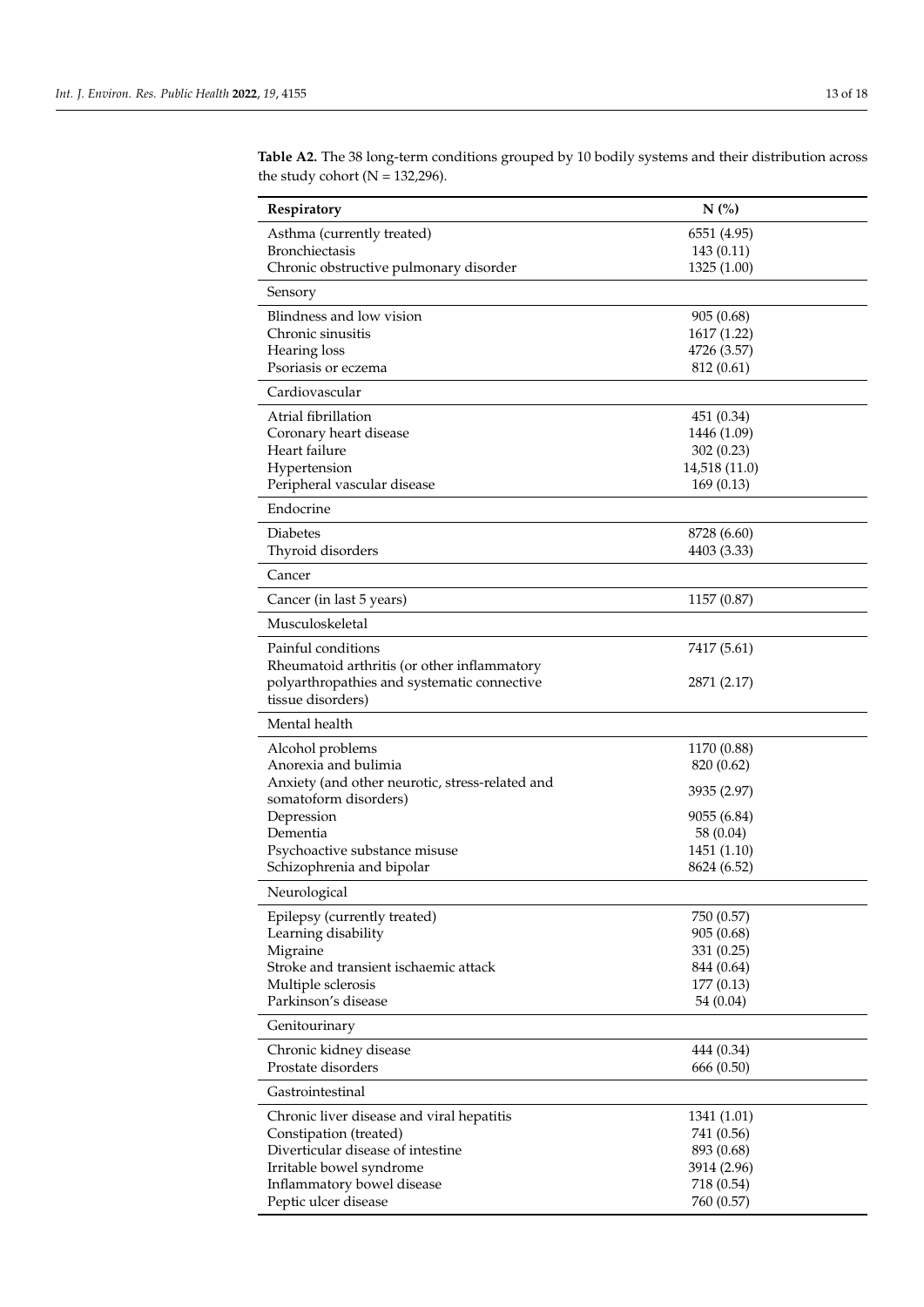| Respiratory                                            | N(%)                      |  |
|--------------------------------------------------------|---------------------------|--|
| Asthma (currently treated)                             | 6551 (4.95)               |  |
| <b>Bronchiectasis</b>                                  | 143 (0.11)                |  |
| Chronic obstructive pulmonary disorder                 | 1325 (1.00)               |  |
| Sensory                                                |                           |  |
| Blindness and low vision                               | 905 (0.68)                |  |
| Chronic sinusitis                                      | 1617 (1.22)               |  |
| Hearing loss                                           | 4726 (3.57)               |  |
| Psoriasis or eczema                                    | 812 (0.61)                |  |
| Cardiovascular                                         |                           |  |
| Atrial fibrillation                                    | 451 (0.34)                |  |
| Coronary heart disease                                 | 1446 (1.09)               |  |
| Heart failure                                          | 302(0.23)                 |  |
| Hypertension                                           | 14,518 (11.0)             |  |
| Peripheral vascular disease                            | 169(0.13)                 |  |
| Endocrine                                              |                           |  |
| <b>Diabetes</b>                                        | 8728 (6.60)               |  |
| Thyroid disorders                                      | 4403 (3.33)               |  |
| Cancer                                                 |                           |  |
| Cancer (in last 5 years)                               | 1157 (0.87)               |  |
| Musculoskeletal                                        |                           |  |
| Painful conditions                                     | 7417 (5.61)               |  |
| Rheumatoid arthritis (or other inflammatory            |                           |  |
| polyarthropathies and systematic connective            | 2871 (2.17)               |  |
| tissue disorders)                                      |                           |  |
| Mental health                                          |                           |  |
| Alcohol problems                                       | 1170 (0.88)               |  |
| Anorexia and bulimia                                   | 820 (0.62)                |  |
| Anxiety (and other neurotic, stress-related and        | 3935 (2.97)               |  |
| somatoform disorders)<br>Depression                    | 9055 (6.84)               |  |
| Dementia                                               | 58 (0.04)                 |  |
| Psychoactive substance misuse                          | 1451 (1.10)               |  |
| Schizophrenia and bipolar                              | 8624 (6.52)               |  |
| Neurological                                           |                           |  |
|                                                        |                           |  |
| Epilepsy (currently treated)<br>Learning disability    | 750 (0.57)<br>905 (0.68)  |  |
| Migraine                                               | 331 (0.25)                |  |
| Stroke and transient ischaemic attack                  | 844 (0.64)                |  |
| Multiple sclerosis                                     | 177 (0.13)                |  |
| Parkinson's disease                                    | 54 (0.04)                 |  |
| Genitourinary                                          |                           |  |
| Chronic kidney disease                                 | 444 (0.34)                |  |
| Prostate disorders                                     | 666 (0.50)                |  |
| Gastrointestinal                                       |                           |  |
| Chronic liver disease and viral hepatitis              | 1341 (1.01)               |  |
| Constipation (treated)                                 | 741 (0.56)                |  |
| Diverticular disease of intestine                      | 893 (0.68)                |  |
| Irritable bowel syndrome<br>Inflammatory bowel disease | 3914 (2.96)<br>718 (0.54) |  |
| Peptic ulcer disease                                   | 760 (0.57)                |  |
|                                                        |                           |  |

<span id="page-12-0"></span>**Table A2.** The 38 long-term conditions grouped by 10 bodily systems and their distribution across the study cohort ( $N = 132,296$ ).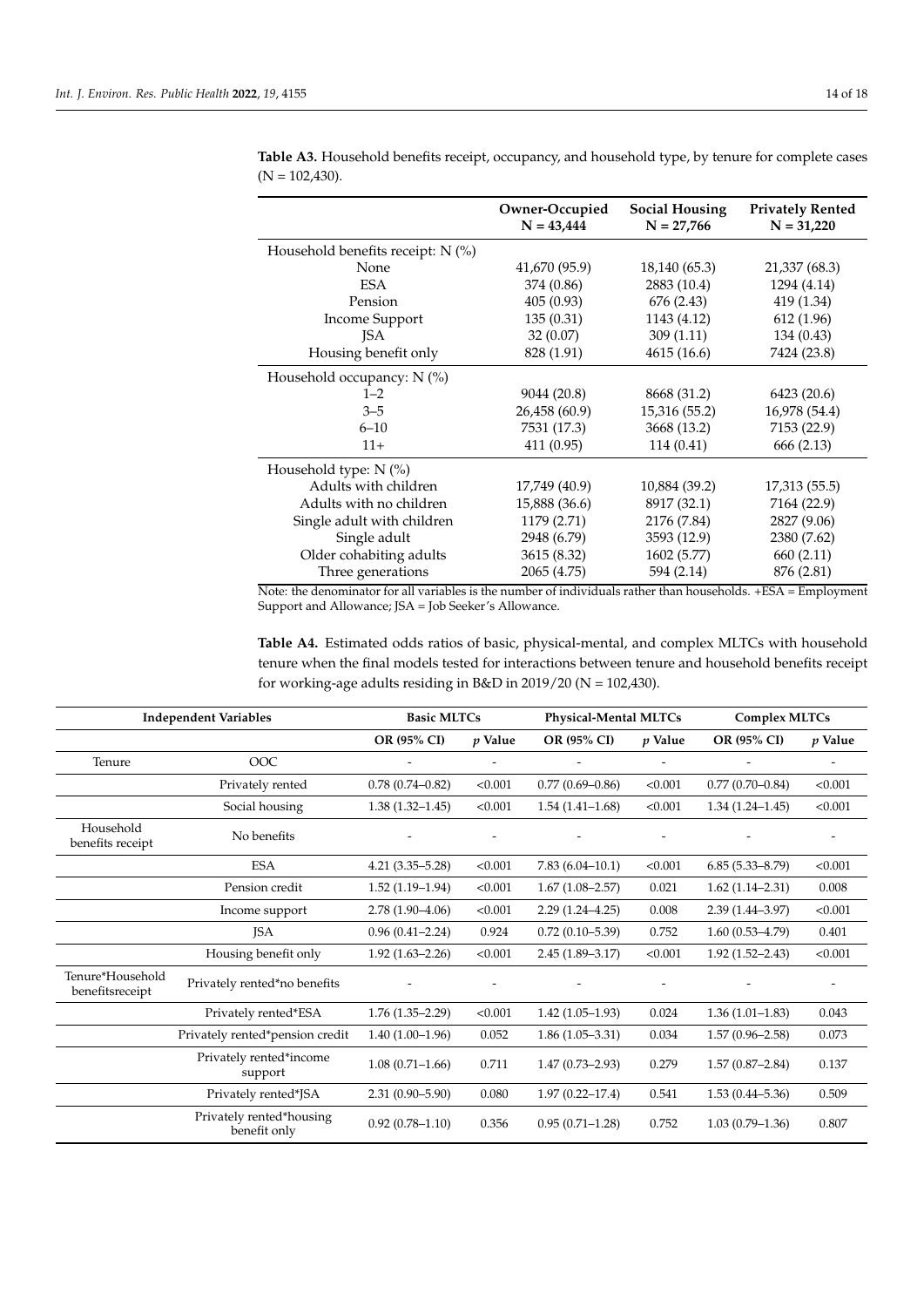|                                     | Owner-Occupied<br>$N = 43,444$ | Social Housing<br>$N = 27,766$ | <b>Privately Rented</b><br>$N = 31,220$ |
|-------------------------------------|--------------------------------|--------------------------------|-----------------------------------------|
| Household benefits receipt: $N$ (%) |                                |                                |                                         |
| None                                | 41,670 (95.9)                  | 18,140 (65.3)                  | 21,337 (68.3)                           |
| <b>ESA</b>                          | 374 (0.86)                     | 2883 (10.4)                    | 1294 (4.14)                             |
| Pension                             | 405(0.93)                      | 676 (2.43)                     | 419 (1.34)                              |
| <b>Income Support</b>               | 135(0.31)                      | 1143 (4.12)                    | 612 (1.96)                              |
| <b>JSA</b>                          | 32(0.07)                       | 309(1.11)                      | 134 (0.43)                              |
| Housing benefit only                | 828 (1.91)                     | 4615 (16.6)                    | 7424 (23.8)                             |
| Household occupancy: N (%)          |                                |                                |                                         |
| $1 - 2$                             | 9044 (20.8)                    | 8668 (31.2)                    | 6423 (20.6)                             |
| $3 - 5$                             | 26,458 (60.9)                  | 15,316 (55.2)                  | 16,978 (54.4)                           |
| $6 - 10$                            | 7531 (17.3)                    | 3668 (13.2)                    | 7153 (22.9)                             |
| $11+$                               | 411 (0.95)                     | 114(0.41)                      | 666 (2.13)                              |
| Household type: $N$ (%)             |                                |                                |                                         |
| Adults with children                | 17,749 (40.9)                  | 10,884 (39.2)                  | 17,313 (55.5)                           |
| Adults with no children             | 15,888 (36.6)                  | 8917 (32.1)                    | 7164 (22.9)                             |
| Single adult with children          | 1179 (2.71)                    | 2176 (7.84)                    | 2827 (9.06)                             |
| Single adult                        | 2948 (6.79)                    | 3593 (12.9)                    | 2380 (7.62)                             |
| Older cohabiting adults             | 3615 (8.32)                    | 1602 (5.77)                    | 660 (2.11)                              |
| Three generations                   | 2065 (4.75)                    | 594 (2.14)                     | 876 (2.81)                              |

<span id="page-13-0"></span>**Table A3.** Household benefits receipt, occupancy, and household type, by tenure for complete cases  $(N = 102,430)$ .

Note: the denominator for all variables is the number of individuals rather than households. +ESA = Employment Support and Allowance; JSA = Job Seeker's Allowance.

<span id="page-13-1"></span>**Table A4.** Estimated odds ratios of basic, physical-mental, and complex MLTCs with household tenure when the final models tested for interactions between tenure and household benefits receipt for working-age adults residing in B&D in 2019/20 ( $N = 102,430$ ).

|                                     | <b>Independent Variables</b>             | <b>Basic MLTCs</b>  |                          | <b>Physical-Mental MLTCs</b> |                          | <b>Complex MLTCs</b> |                          |
|-------------------------------------|------------------------------------------|---------------------|--------------------------|------------------------------|--------------------------|----------------------|--------------------------|
|                                     |                                          | OR (95% CI)         | $p$ Value                | OR (95% CI)                  | $p$ Value                | OR (95% CI)          | p Value                  |
| Tenure                              | OOC                                      |                     | $\overline{\phantom{a}}$ |                              | $\overline{\phantom{a}}$ |                      |                          |
|                                     | Privately rented                         | $0.78(0.74 - 0.82)$ | < 0.001                  | $0.77(0.69 - 0.86)$          | < 0.001                  | $0.77(0.70-0.84)$    | < 0.001                  |
|                                     | Social housing                           | $1.38(1.32 - 1.45)$ | < 0.001                  | $1.54(1.41-1.68)$            | < 0.001                  | $1.34(1.24 - 1.45)$  | < 0.001                  |
| Household<br>benefits receipt       | No benefits                              |                     | $\overline{\phantom{a}}$ |                              |                          |                      |                          |
|                                     | <b>ESA</b>                               | $4.21(3.35 - 5.28)$ | < 0.001                  | $7.83(6.04-10.1)$            | < 0.001                  | $6.85(5.33 - 8.79)$  | < 0.001                  |
|                                     | Pension credit                           | $1.52(1.19-1.94)$   | < 0.001                  | $1.67(1.08 - 2.57)$          | 0.021                    | $1.62(1.14-2.31)$    | 0.008                    |
|                                     | Income support                           | $2.78(1.90-4.06)$   | < 0.001                  | $2.29(1.24 - 4.25)$          | 0.008                    | $2.39(1.44 - 3.97)$  | < 0.001                  |
|                                     | <b>ISA</b>                               | $0.96(0.41 - 2.24)$ | 0.924                    | $0.72(0.10-5.39)$            | 0.752                    | $1.60(0.53 - 4.79)$  | 0.401                    |
|                                     | Housing benefit only                     | $1.92(1.63 - 2.26)$ | < 0.001                  | $2.45(1.89-3.17)$            | < 0.001                  | $1.92(1.52 - 2.43)$  | < 0.001                  |
| Tenure*Household<br>benefitsreceipt | Privately rented*no benefits             |                     | $\overline{\phantom{a}}$ |                              | $\overline{\phantom{a}}$ |                      | $\overline{\phantom{a}}$ |
|                                     | Privately rented*ESA                     | $1.76(1.35-2.29)$   | < 0.001                  | $1.42(1.05-1.93)$            | 0.024                    | $1.36(1.01-1.83)$    | 0.043                    |
|                                     | Privately rented*pension credit          | $1.40(1.00-1.96)$   | 0.052                    | $1.86(1.05-3.31)$            | 0.034                    | $1.57(0.96 - 2.58)$  | 0.073                    |
|                                     | Privately rented*income<br>support       | $1.08(0.71-1.66)$   | 0.711                    | $1.47(0.73 - 2.93)$          | 0.279                    | $1.57(0.87 - 2.84)$  | 0.137                    |
|                                     | Privately rented*JSA                     | $2.31(0.90 - 5.90)$ | 0.080                    | $1.97(0.22 - 17.4)$          | 0.541                    | $1.53(0.44 - 5.36)$  | 0.509                    |
|                                     | Privately rented*housing<br>benefit only | $0.92(0.78 - 1.10)$ | 0.356                    | $0.95(0.71-1.28)$            | 0.752                    | $1.03(0.79-1.36)$    | 0.807                    |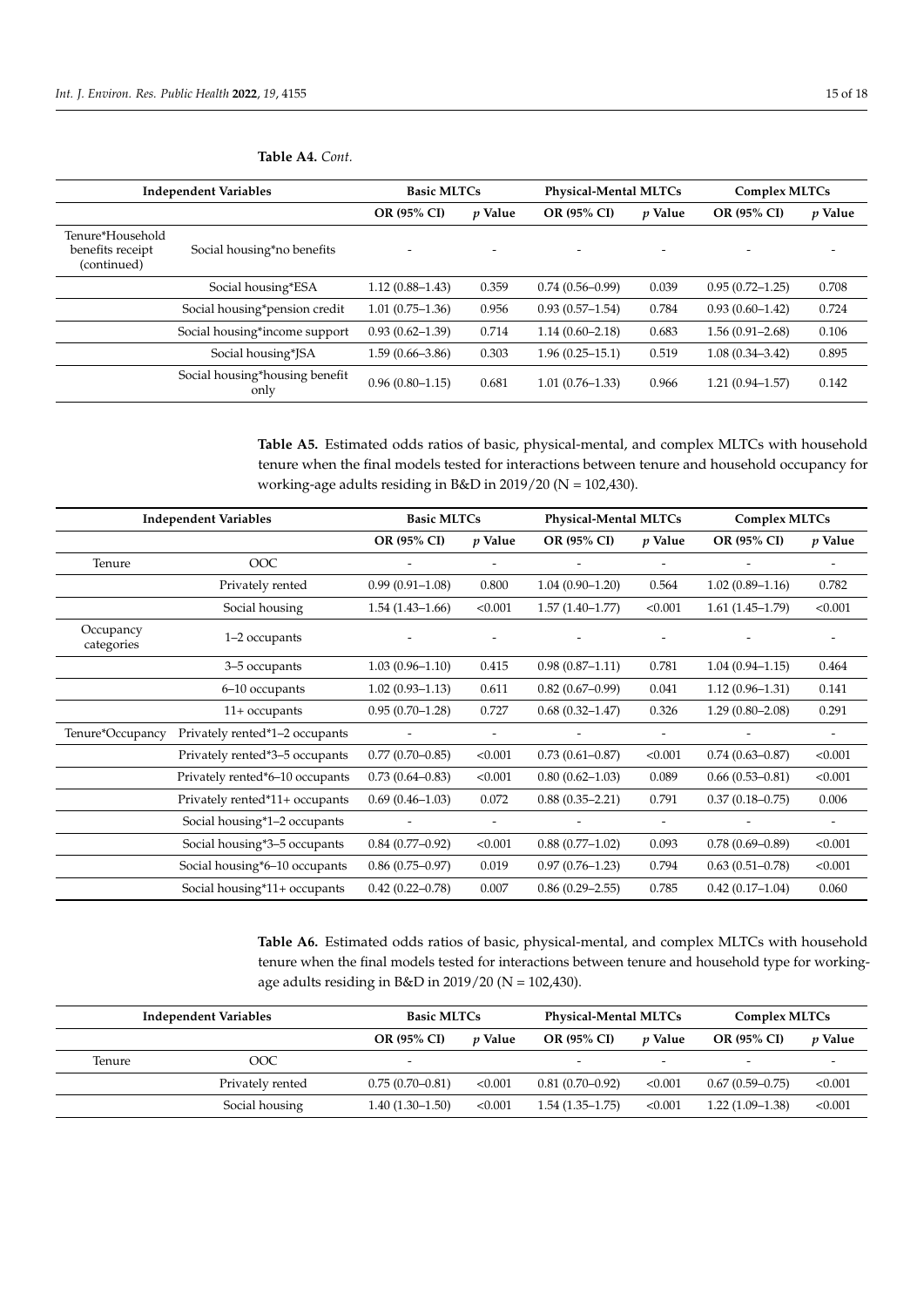| <b>Independent Variables</b>                        |                               | <b>Basic MLTCs</b>  |                          | <b>Physical-Mental MLTCs</b> |                | Complex MLTCs       |                          |
|-----------------------------------------------------|-------------------------------|---------------------|--------------------------|------------------------------|----------------|---------------------|--------------------------|
|                                                     |                               | OR (95% CI)         | <i>v</i> Value           | OR (95% CI)                  | <i>v</i> Value | OR (95% CI)         | <i>p</i> Value           |
| Tenure*Household<br>benefits receipt<br>(continued) | Social housing*no benefits    |                     | $\overline{\phantom{0}}$ | $\overline{\phantom{0}}$     |                |                     | $\overline{\phantom{0}}$ |
|                                                     | Social housing*ESA            | $1.12(0.88 - 1.43)$ | 0.359                    | $0.74(0.56 - 0.99)$          | 0.039          | $0.95(0.72 - 1.25)$ | 0.708                    |
|                                                     | Social housing*pension credit | $1.01(0.75 - 1.36)$ | 0.956                    | $0.93(0.57-1.54)$            | 0.784          | $0.93(0.60 - 1.42)$ | 0.724                    |
|                                                     | Social housing*income support | $0.93(0.62 - 1.39)$ | 0.714                    | $1.14(0.60 - 2.18)$          | 0.683          | $1.56(0.91 - 2.68)$ | 0.106                    |

## **Table A4.** *Cont.*

Social housing\*housing benefit

**Table A5.** Estimated odds ratios of basic, physical-mental, and complex MLTCs with household tenure when the final models tested for interactions between tenure and household occupancy for working-age adults residing in B&D in 2019/20 (N = 102,430).

only 0.96 (0.80–1.15) 0.681 1.01 (0.76–1.33) 0.966 1.21 (0.94–1.57) 0.142

Social housing\*JSA 1.59 (0.66–3.86) 0.303 1.96 (0.25–15.1) 0.519 1.08 (0.34–3.42) 0.895

|                         | <b>Independent Variables</b>    | <b>Basic MLTCs</b>  |                          | <b>Physical-Mental MLTCs</b> |                          | <b>Complex MLTCs</b> |                          |
|-------------------------|---------------------------------|---------------------|--------------------------|------------------------------|--------------------------|----------------------|--------------------------|
|                         |                                 | OR (95% CI)         | $p$ Value                | OR (95% CI)                  | p Value                  | OR (95% CI)          | $p$ Value                |
| Tenure                  | OOC                             |                     | -                        |                              | -                        |                      |                          |
|                         | Privately rented                | $0.99(0.91-1.08)$   | 0.800                    | $1.04(0.90-1.20)$            | 0.564                    | $1.02(0.89-1.16)$    | 0.782                    |
|                         | Social housing                  | $1.54(1.43 - 1.66)$ | < 0.001                  | $1.57(1.40-1.77)$            | < 0.001                  | $1.61(1.45-1.79)$    | < 0.001                  |
| Occupancy<br>categories | 1–2 occupants                   |                     |                          |                              |                          |                      |                          |
|                         | 3-5 occupants                   | $1.03(0.96 - 1.10)$ | 0.415                    | $0.98(0.87 - 1.11)$          | 0.781                    | $1.04(0.94 - 1.15)$  | 0.464                    |
|                         | 6-10 occupants                  | $1.02(0.93 - 1.13)$ | 0.611                    | $0.82(0.67-0.99)$            | 0.041                    | $1.12(0.96 - 1.31)$  | 0.141                    |
|                         | $11+$ occupants                 | $0.95(0.70-1.28)$   | 0.727                    | $0.68(0.32 - 1.47)$          | 0.326                    | $1.29(0.80 - 2.08)$  | 0.291                    |
| Tenure*Occupancy        | Privately rented*1-2 occupants  |                     | $\overline{\phantom{a}}$ |                              | $\overline{\phantom{a}}$ |                      |                          |
|                         | Privately rented*3-5 occupants  | $0.77(0.70-0.85)$   | < 0.001                  | $0.73(0.61 - 0.87)$          | < 0.001                  | $0.74(0.63 - 0.87)$  | < 0.001                  |
|                         | Privately rented*6-10 occupants | $0.73(0.64 - 0.83)$ | < 0.001                  | $0.80(0.62 - 1.03)$          | 0.089                    | $0.66(0.53 - 0.81)$  | < 0.001                  |
|                         | Privately rented*11+ occupants  | $0.69(0.46-1.03)$   | 0.072                    | $0.88(0.35 - 2.21)$          | 0.791                    | $0.37(0.18 - 0.75)$  | 0.006                    |
|                         | Social housing*1-2 occupants    |                     | $\overline{\phantom{a}}$ |                              | -                        |                      | $\overline{\phantom{a}}$ |
|                         | Social housing*3-5 occupants    | $0.84(0.77-0.92)$   | < 0.001                  | $0.88(0.77-1.02)$            | 0.093                    | $0.78(0.69 - 0.89)$  | < 0.001                  |
|                         | Social housing*6-10 occupants   | $0.86(0.75-0.97)$   | 0.019                    | $0.97(0.76 - 1.23)$          | 0.794                    | $0.63(0.51-0.78)$    | < 0.001                  |
|                         | Social housing*11+ occupants    | $0.42(0.22 - 0.78)$ | 0.007                    | $0.86(0.29-2.55)$            | 0.785                    | $0.42(0.17-1.04)$    | 0.060                    |

<span id="page-14-0"></span>**Table A6.** Estimated odds ratios of basic, physical-mental, and complex MLTCs with household tenure when the final models tested for interactions between tenure and household type for workingage adults residing in B&D in 2019/20 (N = 102,430).

|        | <b>Independent Variables</b> |                          | <b>Basic MLTCs</b> |                          | <b>Physical-Mental MLTCs</b> |                   | Complex MLTCs            |  |
|--------|------------------------------|--------------------------|--------------------|--------------------------|------------------------------|-------------------|--------------------------|--|
|        |                              | OR (95% CI)              | <i>v</i> Value     | OR (95% CI)              | <i>v</i> Value               | OR (95% CI)       | <i>v</i> Value           |  |
| Tenure | OOC                          | $\overline{\phantom{0}}$ |                    | $\overline{\phantom{0}}$ |                              |                   | $\overline{\phantom{0}}$ |  |
|        | Privately rented             | $0.75(0.70-0.81)$        | < 0.001            | $0.81(0.70-0.92)$        | < 0.001                      | $0.67(0.59-0.75)$ | < 0.001                  |  |
|        | Social housing               | $1.40(1.30-1.50)$        | < 0.001            | $1.54(1.35-1.75)$        | < 0.001                      | $1.22(1.09-1.38)$ | < 0.001                  |  |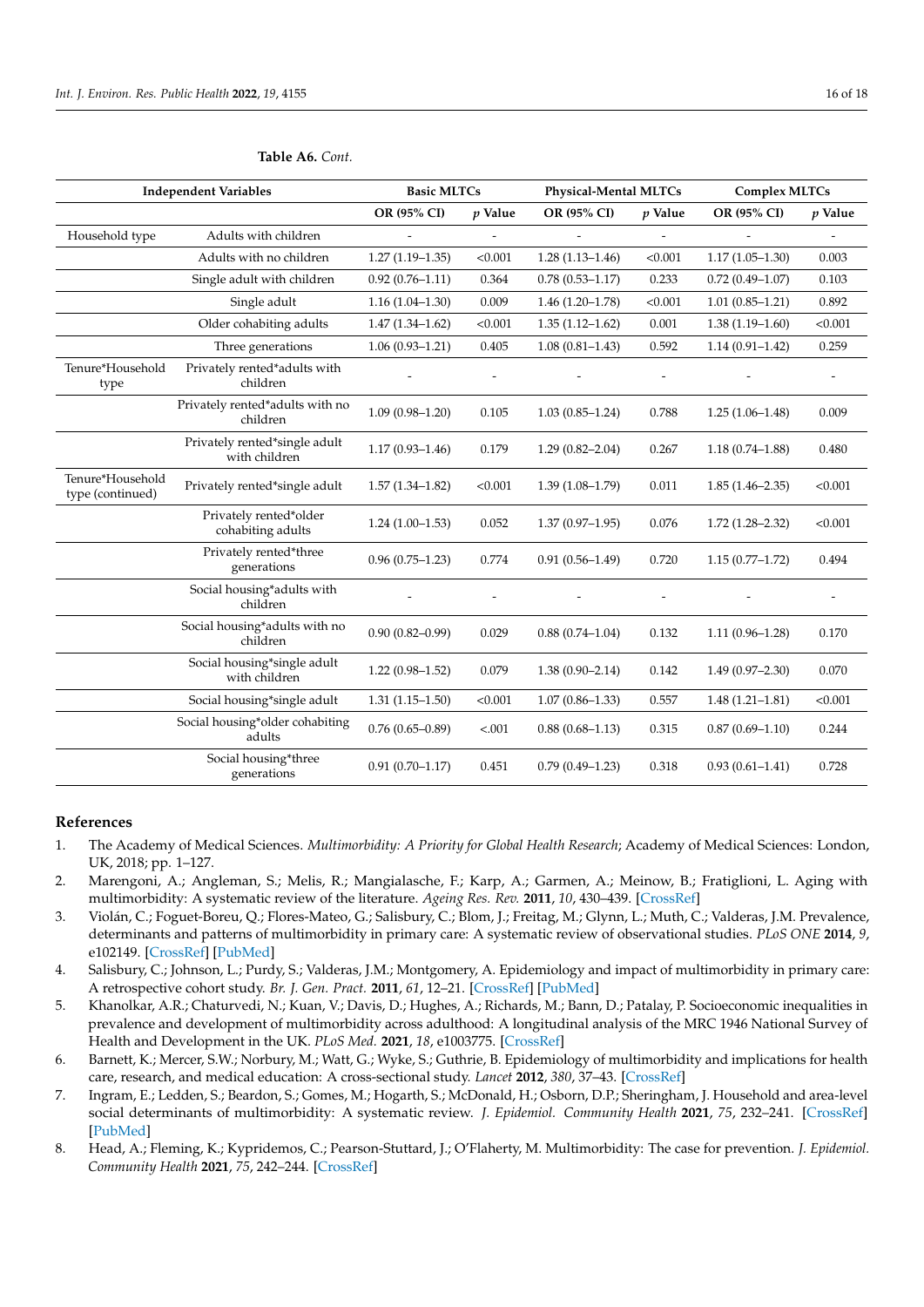|                                      | <b>Independent Variables</b>                   | <b>Basic MLTCs</b>  |           | <b>Physical-Mental MLTCs</b> |                | <b>Complex MLTCs</b> |         |
|--------------------------------------|------------------------------------------------|---------------------|-----------|------------------------------|----------------|----------------------|---------|
|                                      |                                                | OR (95% CI)         | $p$ Value | OR (95% CI)                  | $p$ Value      | OR (95% CI)          | p Value |
| Household type                       | Adults with children                           |                     |           |                              | $\overline{a}$ |                      |         |
|                                      | Adults with no children                        | $1.27(1.19-1.35)$   | < 0.001   | $1.28(1.13 - 1.46)$          | < 0.001        | $1.17(1.05-1.30)$    | 0.003   |
|                                      | Single adult with children                     | $0.92(0.76 - 1.11)$ | 0.364     | $0.78(0.53 - 1.17)$          | 0.233          | $0.72(0.49 - 1.07)$  | 0.103   |
|                                      | Single adult                                   | $1.16(1.04-1.30)$   | 0.009     | $1.46(1.20-1.78)$            | < 0.001        | $1.01(0.85 - 1.21)$  | 0.892   |
|                                      | Older cohabiting adults                        | $1.47(1.34 - 1.62)$ | < 0.001   | $1.35(1.12 - 1.62)$          | 0.001          | $1.38(1.19-1.60)$    | < 0.001 |
|                                      | Three generations                              | $1.06(0.93 - 1.21)$ | 0.405     | $1.08(0.81 - 1.43)$          | 0.592          | $1.14(0.91 - 1.42)$  | 0.259   |
| Tenure*Household<br>type             | Privately rented*adults with<br>children       |                     |           |                              |                |                      |         |
|                                      | Privately rented*adults with no<br>children    | $1.09(0.98 - 1.20)$ | 0.105     | $1.03(0.85 - 1.24)$          | 0.788          | $1.25(1.06-1.48)$    | 0.009   |
|                                      | Privately rented*single adult<br>with children | $1.17(0.93 - 1.46)$ | 0.179     | $1.29(0.82 - 2.04)$          | 0.267          | $1.18(0.74 - 1.88)$  | 0.480   |
| Tenure*Household<br>type (continued) | Privately rented*single adult                  | $1.57(1.34 - 1.82)$ | < 0.001   | $1.39(1.08-1.79)$            | 0.011          | $1.85(1.46 - 2.35)$  | < 0.001 |
|                                      | Privately rented*older<br>cohabiting adults    | $1.24(1.00-1.53)$   | 0.052     | $1.37(0.97-1.95)$            | 0.076          | $1.72(1.28 - 2.32)$  | < 0.001 |
|                                      | Privately rented*three<br>generations          | $0.96(0.75-1.23)$   | 0.774     | $0.91(0.56 - 1.49)$          | 0.720          | $1.15(0.77-1.72)$    | 0.494   |
|                                      | Social housing*adults with<br>children         |                     |           |                              |                |                      |         |
|                                      | Social housing*adults with no<br>children      | $0.90(0.82 - 0.99)$ | 0.029     | $0.88(0.74 - 1.04)$          | 0.132          | $1.11(0.96 - 1.28)$  | 0.170   |
|                                      | Social housing*single adult<br>with children   | $1.22(0.98-1.52)$   | 0.079     | $1.38(0.90 - 2.14)$          | 0.142          | $1.49(0.97 - 2.30)$  | 0.070   |
|                                      | Social housing*single adult                    | $1.31(1.15-1.50)$   | < 0.001   | $1.07(0.86 - 1.33)$          | 0.557          | $1.48(1.21 - 1.81)$  | < 0.001 |
|                                      | Social housing*older cohabiting<br>adults      | $0.76(0.65 - 0.89)$ | < .001    | $0.88(0.68 - 1.13)$          | 0.315          | $0.87(0.69 - 1.10)$  | 0.244   |
|                                      | Social housing*three<br>generations            | $0.91(0.70 - 1.17)$ | 0.451     | $0.79(0.49-1.23)$            | 0.318          | $0.93(0.61 - 1.41)$  | 0.728   |

#### **Table A6.** *Cont.*

## **References**

- <span id="page-15-0"></span>1. The Academy of Medical Sciences. *Multimorbidity: A Priority for Global Health Research*; Academy of Medical Sciences: London, UK, 2018; pp. 1–127.
- 2. Marengoni, A.; Angleman, S.; Melis, R.; Mangialasche, F.; Karp, A.; Garmen, A.; Meinow, B.; Fratiglioni, L. Aging with multimorbidity: A systematic review of the literature. *Ageing Res. Rev.* **2011**, *10*, 430–439. [\[CrossRef\]](http://doi.org/10.1016/j.arr.2011.03.003)
- 3. Violán, C.; Foguet-Boreu, Q.; Flores-Mateo, G.; Salisbury, C.; Blom, J.; Freitag, M.; Glynn, L.; Muth, C.; Valderas, J.M. Prevalence, determinants and patterns of multimorbidity in primary care: A systematic review of observational studies. *PLoS ONE* **2014**, *9*, e102149. [\[CrossRef\]](http://doi.org/10.1371/journal.pone.0102149) [\[PubMed\]](http://www.ncbi.nlm.nih.gov/pubmed/25048354)
- 4. Salisbury, C.; Johnson, L.; Purdy, S.; Valderas, J.M.; Montgomery, A. Epidemiology and impact of multimorbidity in primary care: A retrospective cohort study. *Br. J. Gen. Pract.* **2011**, *61*, 12–21. [\[CrossRef\]](http://doi.org/10.3399/bjgp11X548929) [\[PubMed\]](http://www.ncbi.nlm.nih.gov/pubmed/21401985)
- 5. Khanolkar, A.R.; Chaturvedi, N.; Kuan, V.; Davis, D.; Hughes, A.; Richards, M.; Bann, D.; Patalay, P. Socioeconomic inequalities in prevalence and development of multimorbidity across adulthood: A longitudinal analysis of the MRC 1946 National Survey of Health and Development in the UK. *PLoS Med.* **2021**, *18*, e1003775. [\[CrossRef\]](http://doi.org/10.1371/journal.pmed.1003775)
- <span id="page-15-1"></span>6. Barnett, K.; Mercer, S.W.; Norbury, M.; Watt, G.; Wyke, S.; Guthrie, B. Epidemiology of multimorbidity and implications for health care, research, and medical education: A cross-sectional study. *Lancet* **2012**, *380*, 37–43. [\[CrossRef\]](http://doi.org/10.1016/S0140-6736(12)60240-2)
- <span id="page-15-2"></span>7. Ingram, E.; Ledden, S.; Beardon, S.; Gomes, M.; Hogarth, S.; McDonald, H.; Osborn, D.P.; Sheringham, J. Household and area-level social determinants of multimorbidity: A systematic review. *J. Epidemiol. Community Health* **2021**, *75*, 232–241. [\[CrossRef\]](http://doi.org/10.1136/jech-2020-214691) [\[PubMed\]](http://www.ncbi.nlm.nih.gov/pubmed/33158940)
- <span id="page-15-3"></span>8. Head, A.; Fleming, K.; Kypridemos, C.; Pearson-Stuttard, J.; O'Flaherty, M. Multimorbidity: The case for prevention. *J. Epidemiol. Community Health* **2021**, *75*, 242–244. [\[CrossRef\]](http://doi.org/10.1136/jech-2020-214301)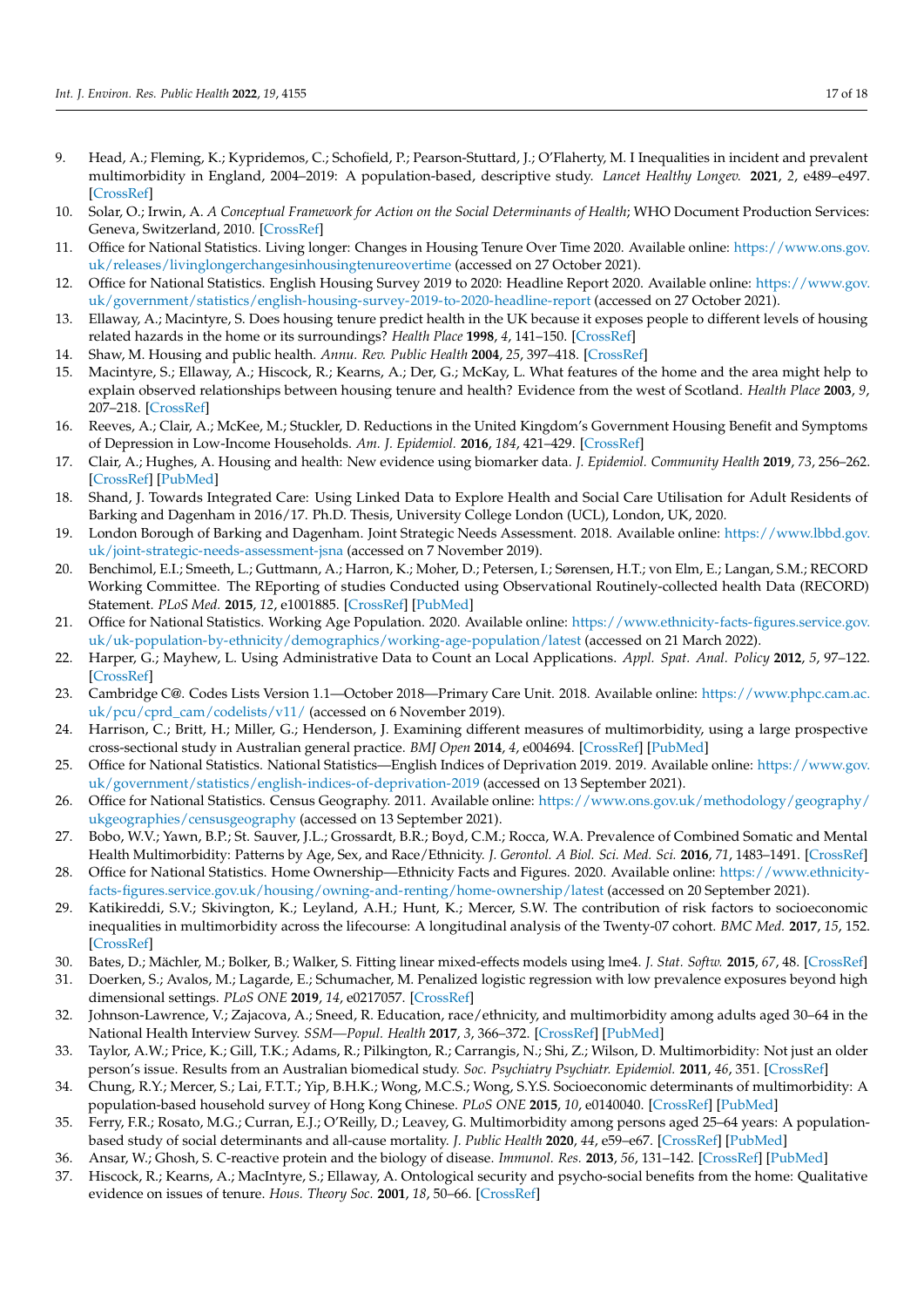- <span id="page-16-0"></span>9. Head, A.; Fleming, K.; Kypridemos, C.; Schofield, P.; Pearson-Stuttard, J.; O'Flaherty, M. I Inequalities in incident and prevalent multimorbidity in England, 2004–2019: A population-based, descriptive study. *Lancet Healthy Longev.* **2021**, *2*, e489–e497. [\[CrossRef\]](http://doi.org/10.1016/S2666-7568(21)00146-X)
- <span id="page-16-1"></span>10. Solar, O.; Irwin, A. *A Conceptual Framework for Action on the Social Determinants of Health*; WHO Document Production Services: Geneva, Switzerland, 2010. [\[CrossRef\]](http://doi.org/10.13016/17cr-aqb9)
- <span id="page-16-2"></span>11. Office for National Statistics. Living longer: Changes in Housing Tenure Over Time 2020. Available online: [https://www.ons.gov.](https://www.ons.gov.uk/releases/livinglongerchangesinhousingtenureovertime) [uk/releases/livinglongerchangesinhousingtenureovertime](https://www.ons.gov.uk/releases/livinglongerchangesinhousingtenureovertime) (accessed on 27 October 2021).
- <span id="page-16-3"></span>12. Office for National Statistics. English Housing Survey 2019 to 2020: Headline Report 2020. Available online: [https://www.gov.](https://www.gov.uk/government/statistics/english-housing-survey-2019-to-2020-headline-report) [uk/government/statistics/english-housing-survey-2019-to-2020-headline-report](https://www.gov.uk/government/statistics/english-housing-survey-2019-to-2020-headline-report) (accessed on 27 October 2021).
- <span id="page-16-4"></span>13. Ellaway, A.; Macintyre, S. Does housing tenure predict health in the UK because it exposes people to different levels of housing related hazards in the home or its surroundings? *Health Place* **1998**, *4*, 141–150. [\[CrossRef\]](http://doi.org/10.1016/S1353-8292(98)00006-9)
- <span id="page-16-6"></span>14. Shaw, M. Housing and public health. *Annu. Rev. Public Health* **2004**, *25*, 397–418. [\[CrossRef\]](http://doi.org/10.1146/annurev.publhealth.25.101802.123036)
- <span id="page-16-5"></span>15. Macintyre, S.; Ellaway, A.; Hiscock, R.; Kearns, A.; Der, G.; McKay, L. What features of the home and the area might help to explain observed relationships between housing tenure and health? Evidence from the west of Scotland. *Health Place* **2003**, *9*, 207–218. [\[CrossRef\]](http://doi.org/10.1016/S1353-8292(02)00040-0)
- <span id="page-16-7"></span>16. Reeves, A.; Clair, A.; McKee, M.; Stuckler, D. Reductions in the United Kingdom's Government Housing Benefit and Symptoms of Depression in Low-Income Households. *Am. J. Epidemiol.* **2016**, *184*, 421–429. [\[CrossRef\]](http://doi.org/10.1093/aje/kww055)
- <span id="page-16-8"></span>17. Clair, A.; Hughes, A. Housing and health: New evidence using biomarker data. *J. Epidemiol. Community Health* **2019**, *73*, 256–262. [\[CrossRef\]](http://doi.org/10.1136/jech-2018-211431) [\[PubMed\]](http://www.ncbi.nlm.nih.gov/pubmed/30642891)
- <span id="page-16-9"></span>18. Shand, J. Towards Integrated Care: Using Linked Data to Explore Health and Social Care Utilisation for Adult Residents of Barking and Dagenham in 2016/17. Ph.D. Thesis, University College London (UCL), London, UK, 2020.
- <span id="page-16-10"></span>19. London Borough of Barking and Dagenham. Joint Strategic Needs Assessment. 2018. Available online: [https://www.lbbd.gov.](https://www.lbbd.gov.uk/joint-strategic-needs-assessment-jsna) [uk/joint-strategic-needs-assessment-jsna](https://www.lbbd.gov.uk/joint-strategic-needs-assessment-jsna) (accessed on 7 November 2019).
- <span id="page-16-11"></span>20. Benchimol, E.I.; Smeeth, L.; Guttmann, A.; Harron, K.; Moher, D.; Petersen, I.; Sørensen, H.T.; von Elm, E.; Langan, S.M.; RECORD Working Committee. The REporting of studies Conducted using Observational Routinely-collected health Data (RECORD) Statement. *PLoS Med.* **2015**, *12*, e1001885. [\[CrossRef\]](http://doi.org/10.1371/journal.pmed.1001885) [\[PubMed\]](http://www.ncbi.nlm.nih.gov/pubmed/26440803)
- <span id="page-16-12"></span>21. Office for National Statistics. Working Age Population. 2020. Available online: [https://www.ethnicity-facts-figures.service.gov.](https://www.ethnicity-facts-figures.service.gov.uk/uk-population-by-ethnicity/demographics/working-age-population/latest) [uk/uk-population-by-ethnicity/demographics/working-age-population/latest](https://www.ethnicity-facts-figures.service.gov.uk/uk-population-by-ethnicity/demographics/working-age-population/latest) (accessed on 21 March 2022).
- <span id="page-16-13"></span>22. Harper, G.; Mayhew, L. Using Administrative Data to Count an Local Applications. *Appl. Spat. Anal. Policy* **2012**, *5*, 97–122. [\[CrossRef\]](http://doi.org/10.1007/s12061-011-9063-y)
- <span id="page-16-14"></span>23. Cambridge C@. Codes Lists Version 1.1—October 2018—Primary Care Unit. 2018. Available online: [https://www.phpc.cam.ac.](https://www.phpc.cam.ac.uk/pcu/cprd_cam/codelists/v11/) [uk/pcu/cprd\\_cam/codelists/v11/](https://www.phpc.cam.ac.uk/pcu/cprd_cam/codelists/v11/) (accessed on 6 November 2019).
- <span id="page-16-15"></span>24. Harrison, C.; Britt, H.; Miller, G.; Henderson, J. Examining different measures of multimorbidity, using a large prospective cross-sectional study in Australian general practice. *BMJ Open* **2014**, *4*, e004694. [\[CrossRef\]](http://doi.org/10.1136/bmjopen-2013-004694) [\[PubMed\]](http://www.ncbi.nlm.nih.gov/pubmed/25015470)
- <span id="page-16-16"></span>25. Office for National Statistics. National Statistics—English Indices of Deprivation 2019. 2019. Available online: [https://www.gov.](https://www.gov.uk/government/statistics/english-indices-of-deprivation-2019) [uk/government/statistics/english-indices-of-deprivation-2019](https://www.gov.uk/government/statistics/english-indices-of-deprivation-2019) (accessed on 13 September 2021).
- <span id="page-16-17"></span>26. Office for National Statistics. Census Geography. 2011. Available online: [https://www.ons.gov.uk/methodology/geography/](https://www.ons.gov.uk/methodology/geography/ukgeographies/censusgeography) [ukgeographies/censusgeography](https://www.ons.gov.uk/methodology/geography/ukgeographies/censusgeography) (accessed on 13 September 2021).
- <span id="page-16-18"></span>27. Bobo, W.V.; Yawn, B.P.; St. Sauver, J.L.; Grossardt, B.R.; Boyd, C.M.; Rocca, W.A. Prevalence of Combined Somatic and Mental Health Multimorbidity: Patterns by Age, Sex, and Race/Ethnicity. *J. Gerontol. A Biol. Sci. Med. Sci.* **2016**, *71*, 1483–1491. [\[CrossRef\]](http://doi.org/10.1093/gerona/glw032)
- 28. Office for National Statistics. Home Ownership—Ethnicity Facts and Figures. 2020. Available online: [https://www.ethnicity](https://www.ethnicity-facts-figures.service.gov.uk/housing/owning-and-renting/home-ownership/latest)[facts-figures.service.gov.uk/housing/owning-and-renting/home-ownership/latest](https://www.ethnicity-facts-figures.service.gov.uk/housing/owning-and-renting/home-ownership/latest) (accessed on 20 September 2021).
- <span id="page-16-19"></span>29. Katikireddi, S.V.; Skivington, K.; Leyland, A.H.; Hunt, K.; Mercer, S.W. The contribution of risk factors to socioeconomic inequalities in multimorbidity across the lifecourse: A longitudinal analysis of the Twenty-07 cohort. *BMC Med.* **2017**, *15*, 152. [\[CrossRef\]](http://doi.org/10.1186/s12916-017-0913-6)
- <span id="page-16-20"></span>30. Bates, D.; Mächler, M.; Bolker, B.; Walker, S. Fitting linear mixed-effects models using lme4. *J. Stat. Softw.* **2015**, *67*, 48. [\[CrossRef\]](http://doi.org/10.18637/jss.v067.i01)
- <span id="page-16-21"></span>31. Doerken, S.; Avalos, M.; Lagarde, E.; Schumacher, M. Penalized logistic regression with low prevalence exposures beyond high dimensional settings. *PLoS ONE* **2019**, *14*, e0217057. [\[CrossRef\]](http://doi.org/10.1371/journal.pone.0217057)
- <span id="page-16-22"></span>32. Johnson-Lawrence, V.; Zajacova, A.; Sneed, R. Education, race/ethnicity, and multimorbidity among adults aged 30–64 in the National Health Interview Survey. *SSM—Popul. Health* **2017**, *3*, 366–372. [\[CrossRef\]](http://doi.org/10.1016/j.ssmph.2017.03.007) [\[PubMed\]](http://www.ncbi.nlm.nih.gov/pubmed/29349230)
- <span id="page-16-23"></span>33. Taylor, A.W.; Price, K.; Gill, T.K.; Adams, R.; Pilkington, R.; Carrangis, N.; Shi, Z.; Wilson, D. Multimorbidity: Not just an older person's issue. Results from an Australian biomedical study. *Soc. Psychiatry Psychiatr. Epidemiol.* **2011**, *46*, 351. [\[CrossRef\]](http://doi.org/10.1007/s00127-010-0309-9)
- <span id="page-16-24"></span>34. Chung, R.Y.; Mercer, S.; Lai, F.T.T.; Yip, B.H.K.; Wong, M.C.S.; Wong, S.Y.S. Socioeconomic determinants of multimorbidity: A population-based household survey of Hong Kong Chinese. *PLoS ONE* **2015**, *10*, e0140040. [\[CrossRef\]](http://doi.org/10.1371/journal.pone.0140040) [\[PubMed\]](http://www.ncbi.nlm.nih.gov/pubmed/26451589)
- <span id="page-16-25"></span>35. Ferry, F.R.; Rosato, M.G.; Curran, E.J.; O'Reilly, D.; Leavey, G. Multimorbidity among persons aged 25–64 years: A populationbased study of social determinants and all-cause mortality. *J. Public Health* **2020**, *44*, e59–e67. [\[CrossRef\]](http://doi.org/10.1093/pubmed/fdaa209) [\[PubMed\]](http://www.ncbi.nlm.nih.gov/pubmed/33348365)
- <span id="page-16-26"></span>36. Ansar, W.; Ghosh, S. C-reactive protein and the biology of disease. *Immunol. Res.* **2013**, *56*, 131–142. [\[CrossRef\]](http://doi.org/10.1007/s12026-013-8384-0) [\[PubMed\]](http://www.ncbi.nlm.nih.gov/pubmed/23371836)
- <span id="page-16-27"></span>37. Hiscock, R.; Kearns, A.; MacIntyre, S.; Ellaway, A. Ontological security and psycho-social benefits from the home: Qualitative evidence on issues of tenure. *Hous. Theory Soc.* **2001**, *18*, 50–66. [\[CrossRef\]](http://doi.org/10.1080/14036090120617)